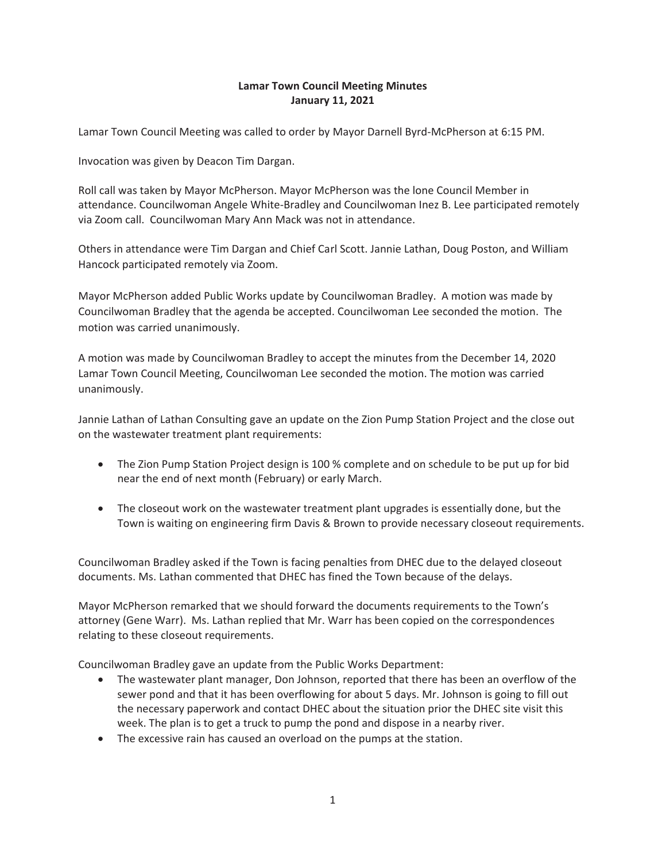### **Lamar Town Council Meeting Minutes January 11, 2021**

Lamar Town Council Meeting was called to order by Mayor Darnell Byrd-McPherson at 6:15 PM.

Invocation was given by Deacon Tim Dargan.

Roll call was taken by Mayor McPherson. Mayor McPherson was the lone Council Member in attendance. Councilwoman Angele White-Bradley and Councilwoman Inez B. Lee participated remotely via Zoom call. Councilwoman Mary Ann Mack was not in attendance.

Others in attendance were Tim Dargan and Chief Carl Scott. Jannie Lathan, Doug Poston, and William Hancock participated remotely via Zoom.

Mayor McPherson added Public Works update by Councilwoman Bradley. A motion was made by Councilwoman Bradley that the agenda be accepted. Councilwoman Lee seconded the motion. The motion was carried unanimously.

A motion was made by Councilwoman Bradley to accept the minutes from the December 14, 2020 Lamar Town Council Meeting, Councilwoman Lee seconded the motion. The motion was carried unanimously.

Jannie Lathan of Lathan Consulting gave an update on the Zion Pump Station Project and the close out on the wastewater treatment plant requirements:

- The Zion Pump Station Project design is 100 % complete and on schedule to be put up for bid near the end of next month (February) or early March.
- The closeout work on the wastewater treatment plant upgrades is essentially done, but the Town is waiting on engineering firm Davis & Brown to provide necessary closeout requirements.

Councilwoman Bradley asked if the Town is facing penalties from DHEC due to the delayed closeout documents. Ms. Lathan commented that DHEC has fined the Town because of the delays.

Mayor McPherson remarked that we should forward the documents requirements to the Town's attorney (Gene Warr). Ms. Lathan replied that Mr. Warr has been copied on the correspondences relating to these closeout requirements.

Councilwoman Bradley gave an update from the Public Works Department:

- The wastewater plant manager, Don Johnson, reported that there has been an overflow of the sewer pond and that it has been overflowing for about 5 days. Mr. Johnson is going to fill out the necessary paperwork and contact DHEC about the situation prior the DHEC site visit this week. The plan is to get a truck to pump the pond and dispose in a nearby river.
- The excessive rain has caused an overload on the pumps at the station.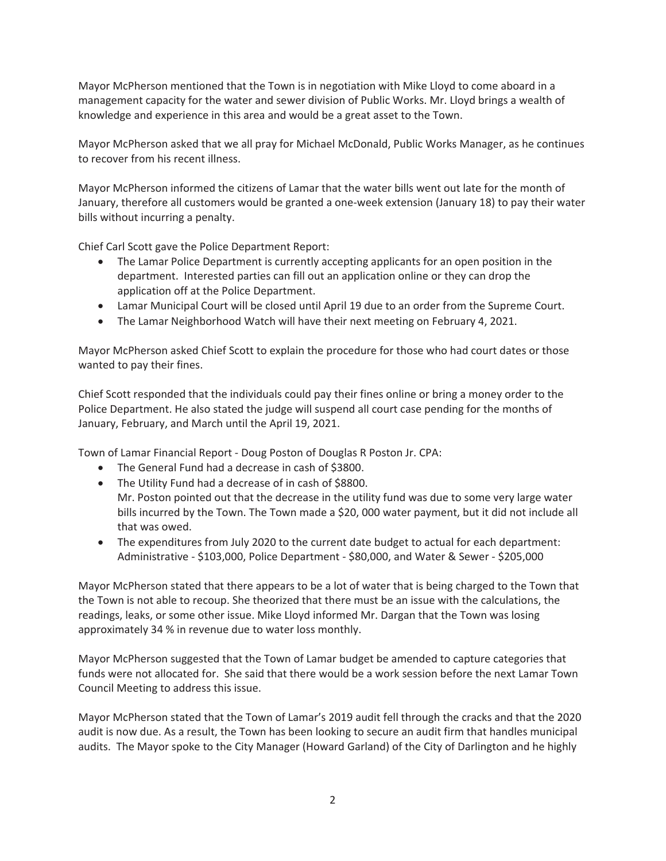Mayor McPherson mentioned that the Town is in negotiation with Mike Lloyd to come aboard in a management capacity for the water and sewer division of Public Works. Mr. Lloyd brings a wealth of knowledge and experience in this area and would be a great asset to the Town.

Mayor McPherson asked that we all pray for Michael McDonald, Public Works Manager, as he continues to recover from his recent illness.

Mayor McPherson informed the citizens of Lamar that the water bills went out late for the month of January, therefore all customers would be granted a one-week extension (January 18) to pay their water bills without incurring a penalty.

Chief Carl Scott gave the Police Department Report:

- The Lamar Police Department is currently accepting applicants for an open position in the department. Interested parties can fill out an application online or they can drop the application off at the Police Department.
- Lamar Municipal Court will be closed until April 19 due to an order from the Supreme Court.
- The Lamar Neighborhood Watch will have their next meeting on February 4, 2021.

Mayor McPherson asked Chief Scott to explain the procedure for those who had court dates or those wanted to pay their fines.

Chief Scott responded that the individuals could pay their fines online or bring a money order to the Police Department. He also stated the judge will suspend all court case pending for the months of January, February, and March until the April 19, 2021.

Town of Lamar Financial Report - Doug Poston of Douglas R Poston Jr. CPA:

- The General Fund had a decrease in cash of \$3800.
- The Utility Fund had a decrease of in cash of \$8800.
- Mr. Poston pointed out that the decrease in the utility fund was due to some very large water bills incurred by the Town. The Town made a \$20, 000 water payment, but it did not include all that was owed.
- The expenditures from July 2020 to the current date budget to actual for each department: Administrative - \$103,000, Police Department - \$80,000, and Water & Sewer - \$205,000

Mayor McPherson stated that there appears to be a lot of water that is being charged to the Town that the Town is not able to recoup. She theorized that there must be an issue with the calculations, the readings, leaks, or some other issue. Mike Lloyd informed Mr. Dargan that the Town was losing approximately 34 % in revenue due to water loss monthly.

Mayor McPherson suggested that the Town of Lamar budget be amended to capture categories that funds were not allocated for. She said that there would be a work session before the next Lamar Town Council Meeting to address this issue.

Mayor McPherson stated that the Town of Lamar's 2019 audit fell through the cracks and that the 2020 audit is now due. As a result, the Town has been looking to secure an audit firm that handles municipal audits. The Mayor spoke to the City Manager (Howard Garland) of the City of Darlington and he highly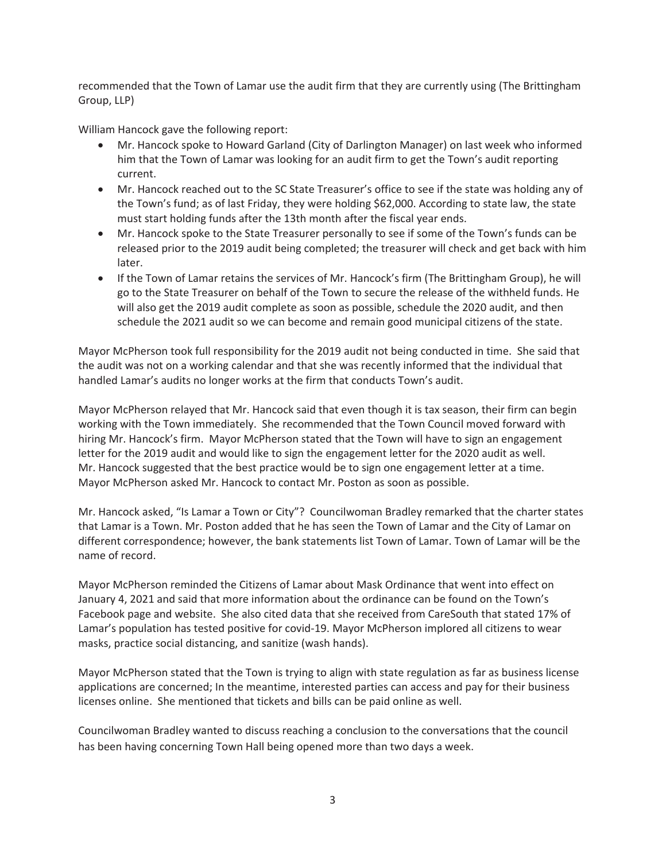recommended that the Town of Lamar use the audit firm that they are currently using (The Brittingham Group, LLP)

William Hancock gave the following report:

- Mr. Hancock spoke to Howard Garland (City of Darlington Manager) on last week who informed him that the Town of Lamar was looking for an audit firm to get the Town's audit reporting current.
- Mr. Hancock reached out to the SC State Treasurer's office to see if the state was holding any of the Town's fund; as of last Friday, they were holding \$62,000. According to state law, the state must start holding funds after the 13th month after the fiscal year ends.
- Mr. Hancock spoke to the State Treasurer personally to see if some of the Town's funds can be released prior to the 2019 audit being completed; the treasurer will check and get back with him later.
- If the Town of Lamar retains the services of Mr. Hancock's firm (The Brittingham Group), he will go to the State Treasurer on behalf of the Town to secure the release of the withheld funds. He will also get the 2019 audit complete as soon as possible, schedule the 2020 audit, and then schedule the 2021 audit so we can become and remain good municipal citizens of the state.

Mayor McPherson took full responsibility for the 2019 audit not being conducted in time. She said that the audit was not on a working calendar and that she was recently informed that the individual that handled Lamar's audits no longer works at the firm that conducts Town's audit.

Mayor McPherson relayed that Mr. Hancock said that even though it is tax season, their firm can begin working with the Town immediately. She recommended that the Town Council moved forward with hiring Mr. Hancock's firm. Mayor McPherson stated that the Town will have to sign an engagement letter for the 2019 audit and would like to sign the engagement letter for the 2020 audit as well. Mr. Hancock suggested that the best practice would be to sign one engagement letter at a time. Mayor McPherson asked Mr. Hancock to contact Mr. Poston as soon as possible.

Mr. Hancock asked, "Is Lamar a Town or City"? Councilwoman Bradley remarked that the charter states that Lamar is a Town. Mr. Poston added that he has seen the Town of Lamar and the City of Lamar on different correspondence; however, the bank statements list Town of Lamar. Town of Lamar will be the name of record.

Mayor McPherson reminded the Citizens of Lamar about Mask Ordinance that went into effect on January 4, 2021 and said that more information about the ordinance can be found on the Town's Facebook page and website. She also cited data that she received from CareSouth that stated 17% of Lamar's population has tested positive for covid-19. Mayor McPherson implored all citizens to wear masks, practice social distancing, and sanitize (wash hands).

Mayor McPherson stated that the Town is trying to align with state regulation as far as business license applications are concerned; In the meantime, interested parties can access and pay for their business licenses online. She mentioned that tickets and bills can be paid online as well.

Councilwoman Bradley wanted to discuss reaching a conclusion to the conversations that the council has been having concerning Town Hall being opened more than two days a week.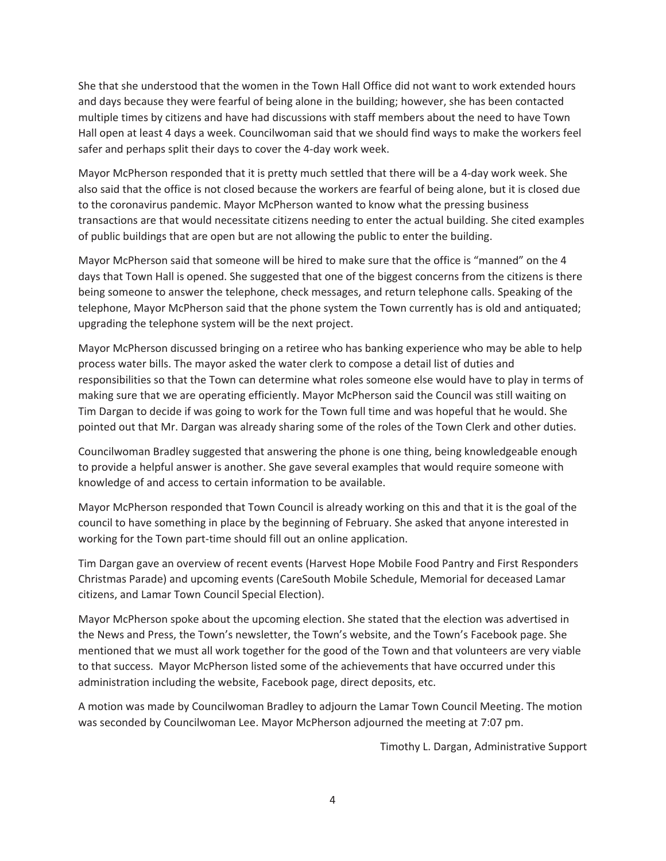She that she understood that the women in the Town Hall Office did not want to work extended hours and days because they were fearful of being alone in the building; however, she has been contacted multiple times by citizens and have had discussions with staff members about the need to have Town Hall open at least 4 days a week. Councilwoman said that we should find ways to make the workers feel safer and perhaps split their days to cover the 4-day work week.

Mayor McPherson responded that it is pretty much settled that there will be a 4-day work week. She also said that the office is not closed because the workers are fearful of being alone, but it is closed due to the coronavirus pandemic. Mayor McPherson wanted to know what the pressing business transactions are that would necessitate citizens needing to enter the actual building. She cited examples of public buildings that are open but are not allowing the public to enter the building.

Mayor McPherson said that someone will be hired to make sure that the office is "manned" on the 4 days that Town Hall is opened. She suggested that one of the biggest concerns from the citizens is there being someone to answer the telephone, check messages, and return telephone calls. Speaking of the telephone, Mayor McPherson said that the phone system the Town currently has is old and antiquated; upgrading the telephone system will be the next project.

Mayor McPherson discussed bringing on a retiree who has banking experience who may be able to help process water bills. The mayor asked the water clerk to compose a detail list of duties and responsibilities so that the Town can determine what roles someone else would have to play in terms of making sure that we are operating efficiently. Mayor McPherson said the Council was still waiting on Tim Dargan to decide if was going to work for the Town full time and was hopeful that he would. She pointed out that Mr. Dargan was already sharing some of the roles of the Town Clerk and other duties.

Councilwoman Bradley suggested that answering the phone is one thing, being knowledgeable enough to provide a helpful answer is another. She gave several examples that would require someone with knowledge of and access to certain information to be available.

Mayor McPherson responded that Town Council is already working on this and that it is the goal of the council to have something in place by the beginning of February. She asked that anyone interested in working for the Town part-time should fill out an online application.

Tim Dargan gave an overview of recent events (Harvest Hope Mobile Food Pantry and First Responders Christmas Parade) and upcoming events (CareSouth Mobile Schedule, Memorial for deceased Lamar citizens, and Lamar Town Council Special Election).

Mayor McPherson spoke about the upcoming election. She stated that the election was advertised in the News and Press, the Town's newsletter, the Town's website, and the Town's Facebook page. She mentioned that we must all work together for the good of the Town and that volunteers are very viable to that success. Mayor McPherson listed some of the achievements that have occurred under this administration including the website, Facebook page, direct deposits, etc.

A motion was made by Councilwoman Bradley to adjourn the Lamar Town Council Meeting. The motion was seconded by Councilwoman Lee. Mayor McPherson adjourned the meeting at 7:07 pm.

Timothy L. Dargan, Administrative Support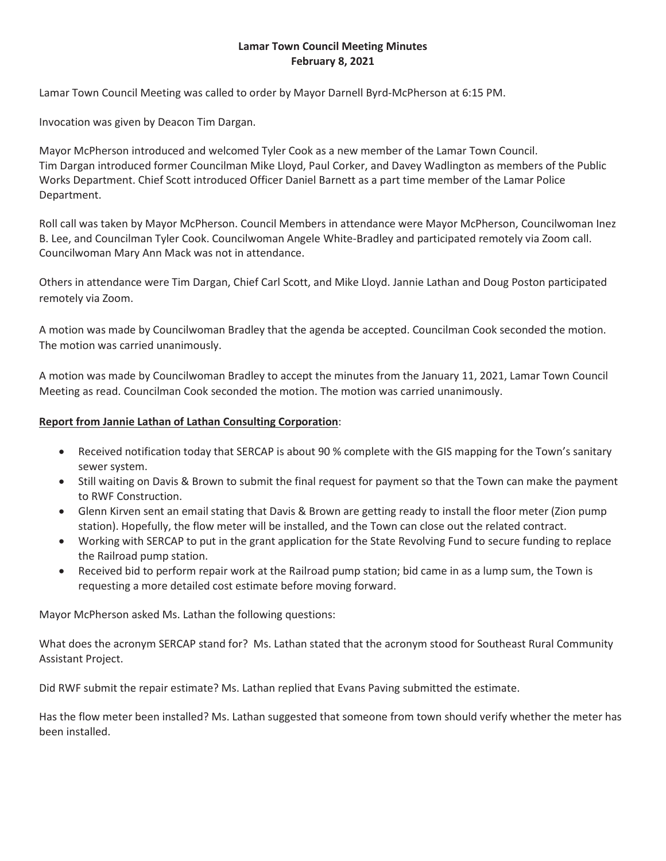### **Lamar Town Council Meeting Minutes February 8, 2021**

Lamar Town Council Meeting was called to order by Mayor Darnell Byrd-McPherson at 6:15 PM.

Invocation was given by Deacon Tim Dargan.

Mayor McPherson introduced and welcomed Tyler Cook as a new member of the Lamar Town Council. Tim Dargan introduced former Councilman Mike Lloyd, Paul Corker, and Davey Wadlington as members of the Public Works Department. Chief Scott introduced Officer Daniel Barnett as a part time member of the Lamar Police Department.

Roll call was taken by Mayor McPherson. Council Members in attendance were Mayor McPherson, Councilwoman Inez B. Lee, and Councilman Tyler Cook. Councilwoman Angele White-Bradley and participated remotely via Zoom call. Councilwoman Mary Ann Mack was not in attendance.

Others in attendance were Tim Dargan, Chief Carl Scott, and Mike Lloyd. Jannie Lathan and Doug Poston participated remotely via Zoom.

A motion was made by Councilwoman Bradley that the agenda be accepted. Councilman Cook seconded the motion. The motion was carried unanimously.

A motion was made by Councilwoman Bradley to accept the minutes from the January 11, 2021, Lamar Town Council Meeting as read. Councilman Cook seconded the motion. The motion was carried unanimously.

#### **Report from Jannie Lathan of Lathan Consulting Corporation**:

- Received notification today that SERCAP is about 90 % complete with the GIS mapping for the Town's sanitary sewer system.
- Still waiting on Davis & Brown to submit the final request for payment so that the Town can make the payment to RWF Construction.
- Glenn Kirven sent an email stating that Davis & Brown are getting ready to install the floor meter (Zion pump station). Hopefully, the flow meter will be installed, and the Town can close out the related contract.
- Working with SERCAP to put in the grant application for the State Revolving Fund to secure funding to replace the Railroad pump station.
- Received bid to perform repair work at the Railroad pump station; bid came in as a lump sum, the Town is requesting a more detailed cost estimate before moving forward.

Mayor McPherson asked Ms. Lathan the following questions:

What does the acronym SERCAP stand for? Ms. Lathan stated that the acronym stood for Southeast Rural Community Assistant Project.

Did RWF submit the repair estimate? Ms. Lathan replied that Evans Paving submitted the estimate.

Has the flow meter been installed? Ms. Lathan suggested that someone from town should verify whether the meter has been installed.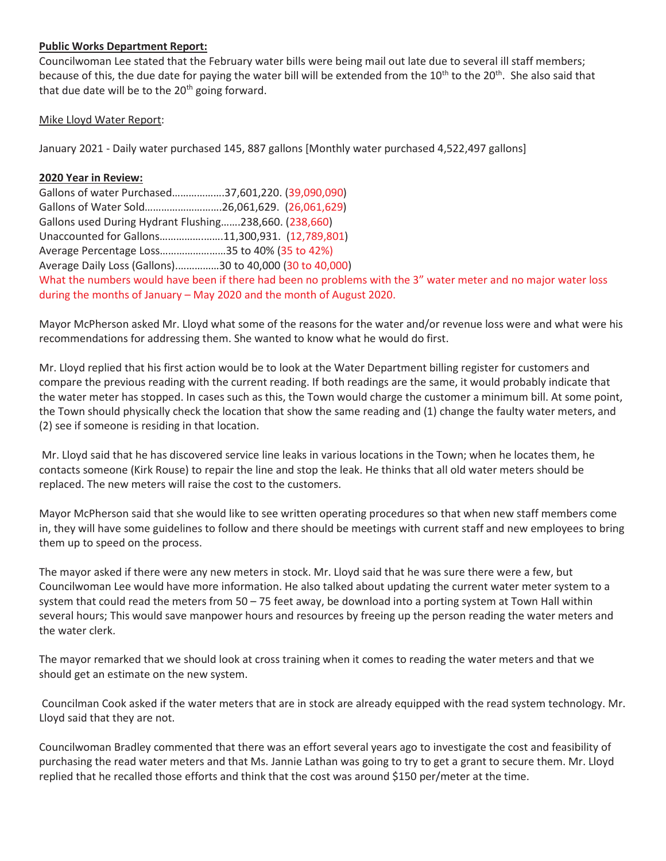#### **Public Works Department Report:**

Councilwoman Lee stated that the February water bills were being mail out late due to several ill staff members; because of this, the due date for paying the water bill will be extended from the  $10^{th}$  to the  $20^{th}$ . She also said that that due date will be to the  $20<sup>th</sup>$  going forward.

### Mike Lloyd Water Report:

January 2021 - Daily water purchased 145, 887 gallons [Monthly water purchased 4,522,497 gallons]

### **2020 Year in Review:**

Gallons of water Purchased……………….37,601,220. (39,090,090) Gallons of Water Sold……………………….26,061,629. (26,061,629) Gallons used During Hydrant Flushing…….238,660. (238,660) Unaccounted for Gallons…………….…….11,300,931. (12,789,801) Average Percentage Loss……………………35 to 40% (35 to 42%) Average Daily Loss (Gallons).……………30 to 40,000 (30 to 40,000) What the numbers would have been if there had been no problems with the 3" water meter and no major water loss during the months of January – May 2020 and the month of August 2020.

Mayor McPherson asked Mr. Lloyd what some of the reasons for the water and/or revenue loss were and what were his recommendations for addressing them. She wanted to know what he would do first.

Mr. Lloyd replied that his first action would be to look at the Water Department billing register for customers and compare the previous reading with the current reading. If both readings are the same, it would probably indicate that the water meter has stopped. In cases such as this, the Town would charge the customer a minimum bill. At some point, the Town should physically check the location that show the same reading and (1) change the faulty water meters, and (2) see if someone is residing in that location.

 Mr. Lloyd said that he has discovered service line leaks in various locations in the Town; when he locates them, he contacts someone (Kirk Rouse) to repair the line and stop the leak. He thinks that all old water meters should be replaced. The new meters will raise the cost to the customers.

Mayor McPherson said that she would like to see written operating procedures so that when new staff members come in, they will have some guidelines to follow and there should be meetings with current staff and new employees to bring them up to speed on the process.

The mayor asked if there were any new meters in stock. Mr. Lloyd said that he was sure there were a few, but Councilwoman Lee would have more information. He also talked about updating the current water meter system to a system that could read the meters from 50 – 75 feet away, be download into a porting system at Town Hall within several hours; This would save manpower hours and resources by freeing up the person reading the water meters and the water clerk.

The mayor remarked that we should look at cross training when it comes to reading the water meters and that we should get an estimate on the new system.

 Councilman Cook asked if the water meters that are in stock are already equipped with the read system technology. Mr. Lloyd said that they are not.

Councilwoman Bradley commented that there was an effort several years ago to investigate the cost and feasibility of purchasing the read water meters and that Ms. Jannie Lathan was going to try to get a grant to secure them. Mr. Lloyd replied that he recalled those efforts and think that the cost was around \$150 per/meter at the time.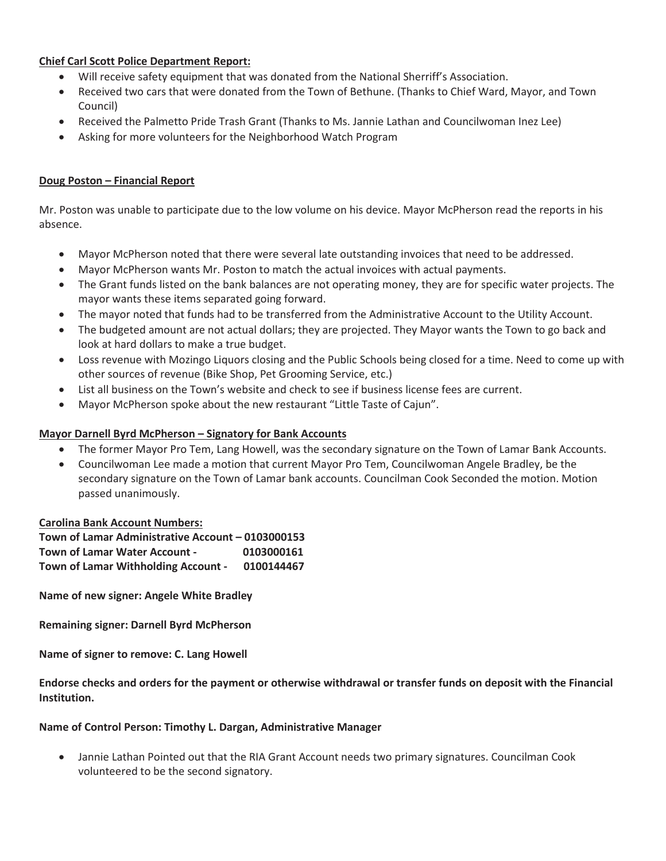## **Chief Carl Scott Police Department Report:**

- Will receive safety equipment that was donated from the National Sherriff's Association.
- x Received two cars that were donated from the Town of Bethune. (Thanks to Chief Ward, Mayor, and Town Council)
- **•** Received the Palmetto Pride Trash Grant (Thanks to Ms. Jannie Lathan and Councilwoman Inez Lee)
- Asking for more volunteers for the Neighborhood Watch Program

#### **Doug Poston – Financial Report**

Mr. Poston was unable to participate due to the low volume on his device. Mayor McPherson read the reports in his absence.

- Mayor McPherson noted that there were several late outstanding invoices that need to be addressed.
- x Mayor McPherson wants Mr. Poston to match the actual invoices with actual payments.
- The Grant funds listed on the bank balances are not operating money, they are for specific water projects. The mayor wants these items separated going forward.
- The mayor noted that funds had to be transferred from the Administrative Account to the Utility Account.
- The budgeted amount are not actual dollars; they are projected. They Mayor wants the Town to go back and look at hard dollars to make a true budget.
- Loss revenue with Mozingo Liquors closing and the Public Schools being closed for a time. Need to come up with other sources of revenue (Bike Shop, Pet Grooming Service, etc.)
- List all business on the Town's website and check to see if business license fees are current.
- Mayor McPherson spoke about the new restaurant "Little Taste of Cajun".

#### **Mayor Darnell Byrd McPherson – Signatory for Bank Accounts**

- The former Mayor Pro Tem, Lang Howell, was the secondary signature on the Town of Lamar Bank Accounts.
- Councilwoman Lee made a motion that current Mayor Pro Tem, Councilwoman Angele Bradley, be the secondary signature on the Town of Lamar bank accounts. Councilman Cook Seconded the motion. Motion passed unanimously.

#### **Carolina Bank Account Numbers:**

**Town of Lamar Administrative Account – 0103000153 Town of Lamar Water Account - 0103000161 Town of Lamar Withholding Account - 0100144467** 

**Name of new signer: Angele White Bradley** 

**Remaining signer: Darnell Byrd McPherson** 

**Name of signer to remove: C. Lang Howell** 

**Endorse checks and orders for the payment or otherwise withdrawal or transfer funds on deposit with the Financial Institution.** 

#### **Name of Control Person: Timothy L. Dargan, Administrative Manager**

Jannie Lathan Pointed out that the RIA Grant Account needs two primary signatures. Councilman Cook volunteered to be the second signatory.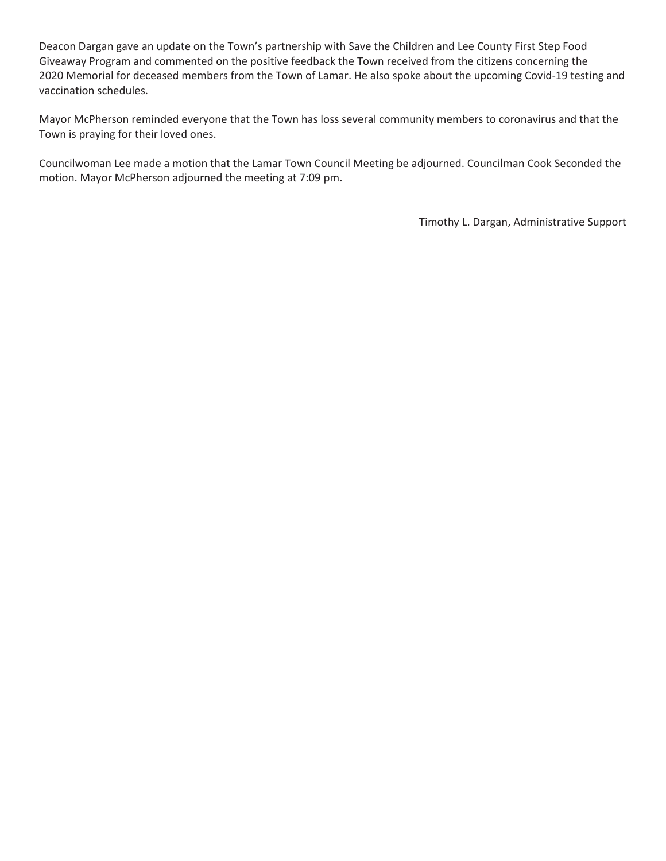Deacon Dargan gave an update on the Town's partnership with Save the Children and Lee County First Step Food Giveaway Program and commented on the positive feedback the Town received from the citizens concerning the 2020 Memorial for deceased members from the Town of Lamar. He also spoke about the upcoming Covid-19 testing and vaccination schedules.

Mayor McPherson reminded everyone that the Town has loss several community members to coronavirus and that the Town is praying for their loved ones.

Councilwoman Lee made a motion that the Lamar Town Council Meeting be adjourned. Councilman Cook Seconded the motion. Mayor McPherson adjourned the meeting at 7:09 pm.

Timothy L. Dargan, Administrative Support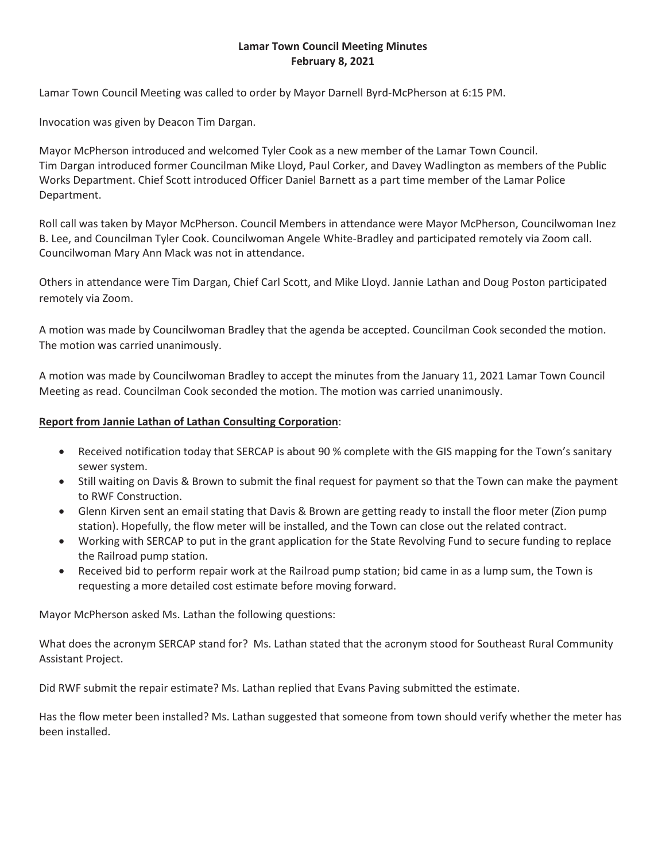### **Lamar Town Council Meeting Minutes February 8, 2021**

Lamar Town Council Meeting was called to order by Mayor Darnell Byrd-McPherson at 6:15 PM.

Invocation was given by Deacon Tim Dargan.

Mayor McPherson introduced and welcomed Tyler Cook as a new member of the Lamar Town Council. Tim Dargan introduced former Councilman Mike Lloyd, Paul Corker, and Davey Wadlington as members of the Public Works Department. Chief Scott introduced Officer Daniel Barnett as a part time member of the Lamar Police Department.

Roll call was taken by Mayor McPherson. Council Members in attendance were Mayor McPherson, Councilwoman Inez B. Lee, and Councilman Tyler Cook. Councilwoman Angele White-Bradley and participated remotely via Zoom call. Councilwoman Mary Ann Mack was not in attendance.

Others in attendance were Tim Dargan, Chief Carl Scott, and Mike Lloyd. Jannie Lathan and Doug Poston participated remotely via Zoom.

A motion was made by Councilwoman Bradley that the agenda be accepted. Councilman Cook seconded the motion. The motion was carried unanimously.

A motion was made by Councilwoman Bradley to accept the minutes from the January 11, 2021 Lamar Town Council Meeting as read. Councilman Cook seconded the motion. The motion was carried unanimously.

### **Report from Jannie Lathan of Lathan Consulting Corporation**:

- Received notification today that SERCAP is about 90 % complete with the GIS mapping for the Town's sanitary sewer system.
- Still waiting on Davis & Brown to submit the final request for payment so that the Town can make the payment to RWF Construction.
- Glenn Kirven sent an email stating that Davis & Brown are getting ready to install the floor meter (Zion pump station). Hopefully, the flow meter will be installed, and the Town can close out the related contract.
- Working with SERCAP to put in the grant application for the State Revolving Fund to secure funding to replace the Railroad pump station.
- Received bid to perform repair work at the Railroad pump station; bid came in as a lump sum, the Town is requesting a more detailed cost estimate before moving forward.

Mayor McPherson asked Ms. Lathan the following questions:

What does the acronym SERCAP stand for? Ms. Lathan stated that the acronym stood for Southeast Rural Community Assistant Project.

Did RWF submit the repair estimate? Ms. Lathan replied that Evans Paving submitted the estimate.

Has the flow meter been installed? Ms. Lathan suggested that someone from town should verify whether the meter has been installed.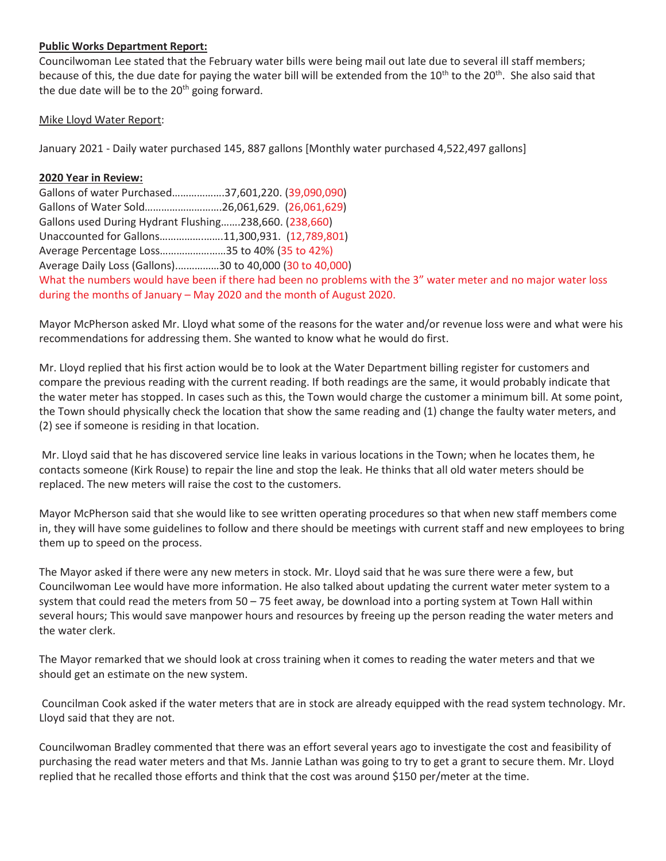#### **Public Works Department Report:**

Councilwoman Lee stated that the February water bills were being mail out late due to several ill staff members; because of this, the due date for paying the water bill will be extended from the  $10^{th}$  to the  $20^{th}$ . She also said that the due date will be to the  $20<sup>th</sup>$  going forward.

### Mike Lloyd Water Report:

January 2021 - Daily water purchased 145, 887 gallons [Monthly water purchased 4,522,497 gallons]

### **2020 Year in Review:**

Gallons of water Purchased……………….37,601,220. (39,090,090) Gallons of Water Sold……………………….26,061,629. (26,061,629) Gallons used During Hydrant Flushing…….238,660. (238,660) Unaccounted for Gallons…………….…….11,300,931. (12,789,801) Average Percentage Loss……………………35 to 40% (35 to 42%) Average Daily Loss (Gallons).……………30 to 40,000 (30 to 40,000) What the numbers would have been if there had been no problems with the 3" water meter and no major water loss during the months of January – May 2020 and the month of August 2020.

Mayor McPherson asked Mr. Lloyd what some of the reasons for the water and/or revenue loss were and what were his recommendations for addressing them. She wanted to know what he would do first.

Mr. Lloyd replied that his first action would be to look at the Water Department billing register for customers and compare the previous reading with the current reading. If both readings are the same, it would probably indicate that the water meter has stopped. In cases such as this, the Town would charge the customer a minimum bill. At some point, the Town should physically check the location that show the same reading and (1) change the faulty water meters, and (2) see if someone is residing in that location.

 Mr. Lloyd said that he has discovered service line leaks in various locations in the Town; when he locates them, he contacts someone (Kirk Rouse) to repair the line and stop the leak. He thinks that all old water meters should be replaced. The new meters will raise the cost to the customers.

Mayor McPherson said that she would like to see written operating procedures so that when new staff members come in, they will have some guidelines to follow and there should be meetings with current staff and new employees to bring them up to speed on the process.

The Mayor asked if there were any new meters in stock. Mr. Lloyd said that he was sure there were a few, but Councilwoman Lee would have more information. He also talked about updating the current water meter system to a system that could read the meters from 50 – 75 feet away, be download into a porting system at Town Hall within several hours; This would save manpower hours and resources by freeing up the person reading the water meters and the water clerk.

The Mayor remarked that we should look at cross training when it comes to reading the water meters and that we should get an estimate on the new system.

 Councilman Cook asked if the water meters that are in stock are already equipped with the read system technology. Mr. Lloyd said that they are not.

Councilwoman Bradley commented that there was an effort several years ago to investigate the cost and feasibility of purchasing the read water meters and that Ms. Jannie Lathan was going to try to get a grant to secure them. Mr. Lloyd replied that he recalled those efforts and think that the cost was around \$150 per/meter at the time.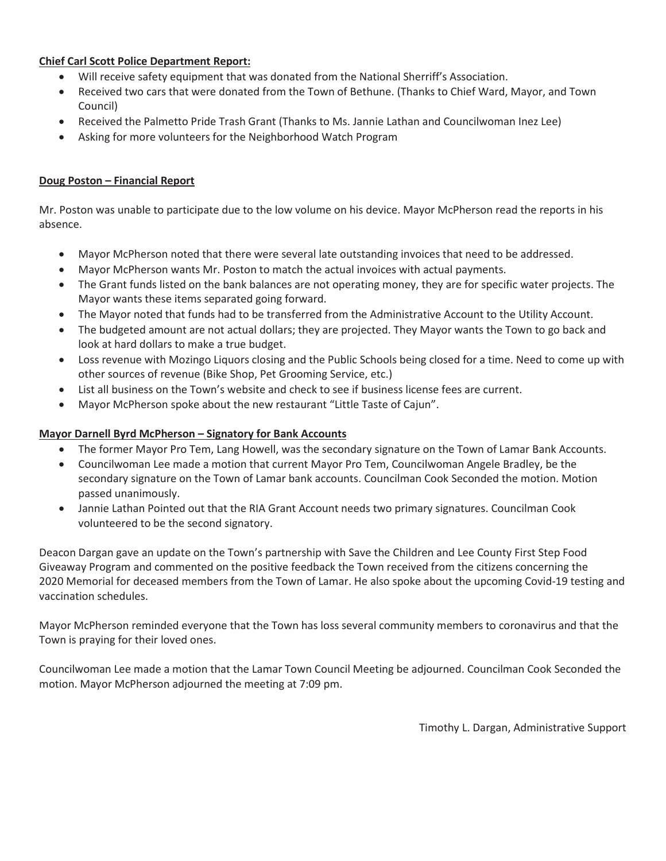## **Chief Carl Scott Police Department Report:**

- Will receive safety equipment that was donated from the National Sherriff's Association.
- x Received two cars that were donated from the Town of Bethune. (Thanks to Chief Ward, Mayor, and Town Council)
- **•** Received the Palmetto Pride Trash Grant (Thanks to Ms. Jannie Lathan and Councilwoman Inez Lee)
- Asking for more volunteers for the Neighborhood Watch Program

### **Doug Poston – Financial Report**

Mr. Poston was unable to participate due to the low volume on his device. Mayor McPherson read the reports in his absence.

- Mayor McPherson noted that there were several late outstanding invoices that need to be addressed.
- Mayor McPherson wants Mr. Poston to match the actual invoices with actual payments.
- The Grant funds listed on the bank balances are not operating money, they are for specific water projects. The Mayor wants these items separated going forward.
- The Mayor noted that funds had to be transferred from the Administrative Account to the Utility Account.
- The budgeted amount are not actual dollars; they are projected. They Mayor wants the Town to go back and look at hard dollars to make a true budget.
- Loss revenue with Mozingo Liquors closing and the Public Schools being closed for a time. Need to come up with other sources of revenue (Bike Shop, Pet Grooming Service, etc.)
- List all business on the Town's website and check to see if business license fees are current.
- Mayor McPherson spoke about the new restaurant "Little Taste of Cajun".

#### **Mayor Darnell Byrd McPherson – Signatory for Bank Accounts**

- The former Mayor Pro Tem, Lang Howell, was the secondary signature on the Town of Lamar Bank Accounts.
- Councilwoman Lee made a motion that current Mayor Pro Tem, Councilwoman Angele Bradley, be the secondary signature on the Town of Lamar bank accounts. Councilman Cook Seconded the motion. Motion passed unanimously.
- Jannie Lathan Pointed out that the RIA Grant Account needs two primary signatures. Councilman Cook volunteered to be the second signatory.

Deacon Dargan gave an update on the Town's partnership with Save the Children and Lee County First Step Food Giveaway Program and commented on the positive feedback the Town received from the citizens concerning the 2020 Memorial for deceased members from the Town of Lamar. He also spoke about the upcoming Covid-19 testing and vaccination schedules.

Mayor McPherson reminded everyone that the Town has loss several community members to coronavirus and that the Town is praying for their loved ones.

Councilwoman Lee made a motion that the Lamar Town Council Meeting be adjourned. Councilman Cook Seconded the motion. Mayor McPherson adjourned the meeting at 7:09 pm.

Timothy L. Dargan, Administrative Support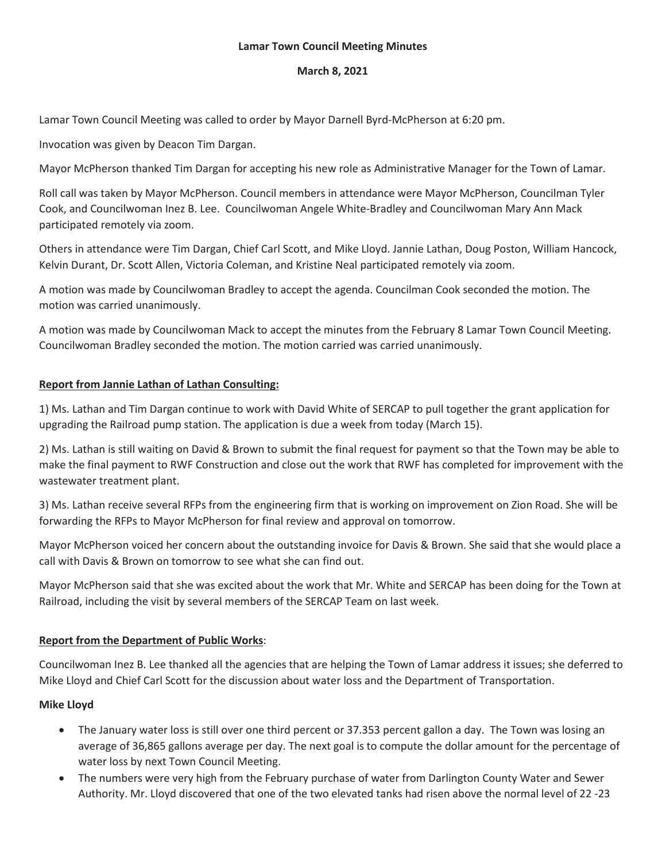#### **Lamar Town Council Meeting Minutes**

### **March 8, 2021**

Lamar Town Council Meeting was called to order by Mayor Darnell Byrd-McPherson at 6:20 pm.

Invocation was given by Deacon Tim Dargan.

Mayor McPherson thanked Tim Dargan for accepting his new role as Administrative Manager for the Town of Lamar.

Roll call was taken by Mayor McPherson. Council members in attendance were Mayor McPherson, Councilman Tyler Cook, and Councilwoman Inez B. Lee. Councilwoman Angele White-Bradley and Councilwoman Mary Ann Mack participated remotely via zoom.

Others in attendance were Tim Dargan, Chief Carl Scott, and Mike Lloyd. Jannie Lathan, Doug Poston, William Hancock, Kelvin Durant, Dr. Scott Allen, Victoria Coleman, and Kristine Neal participated remotely via zoom.

A motion was made by Councilwoman Bradley to accept the agenda. Councilman Cook seconded the motion. The motion was carried unanimously.

A motion was made by Councilwoman Mack to accept the minutes from the February 8 Lamar Town Council Meeting. Councilwoman Bradley seconded the motion. The motion carried was carried unanimously.

### **Report from Jannie Lathan of Lathan Consulting:**

1) Ms. Lathan and Tim Dargan continue to work with David White of SERCAP to pull together the grant application for upgrading the Railroad pump station. The application is due a week from today (March 15).

2) Ms. Lathan is still waiting on David & Brown to submit the final request for payment so that the Town may be able to make the final payment to RWF Construction and close out the work that RWF has completed for improvement with the wastewater treatment plant.

3) Ms. Lathan receive several RFPs from the engineering firm that is working on improvement on Zion Road. She will be forwarding the RFPs to Mayor McPherson for final review and approval on tomorrow.

Mayor McPherson voiced her concern about the outstanding invoice for Davis & Brown. She said that she would place a call with Davis & Brown on tomorrow to see what she can find out.

Mayor McPherson said that she was excited about the work that Mr. White and SERCAP has been doing for the Town at Railroad, including the visit by several members of the SERCAP Team on last week.

## **Report from the Department of Public Works**:

Councilwoman Inez B. Lee thanked all the agencies that are helping the Town of Lamar address it issues; she deferred to Mike Lloyd and Chief Carl Scott for the discussion about water loss and the Department of Transportation.

#### **Mike Lloyd**

- The January water loss is still over one third percent or 37.353 percent gallon a day. The Town was losing an average of 36,865 gallons average per day. The next goal is to compute the dollar amount for the percentage of water loss by next Town Council Meeting.
- The numbers were very high from the February purchase of water from Darlington County Water and Sewer Authority. Mr. Lloyd discovered that one of the two elevated tanks had risen above the normal level of 22 -23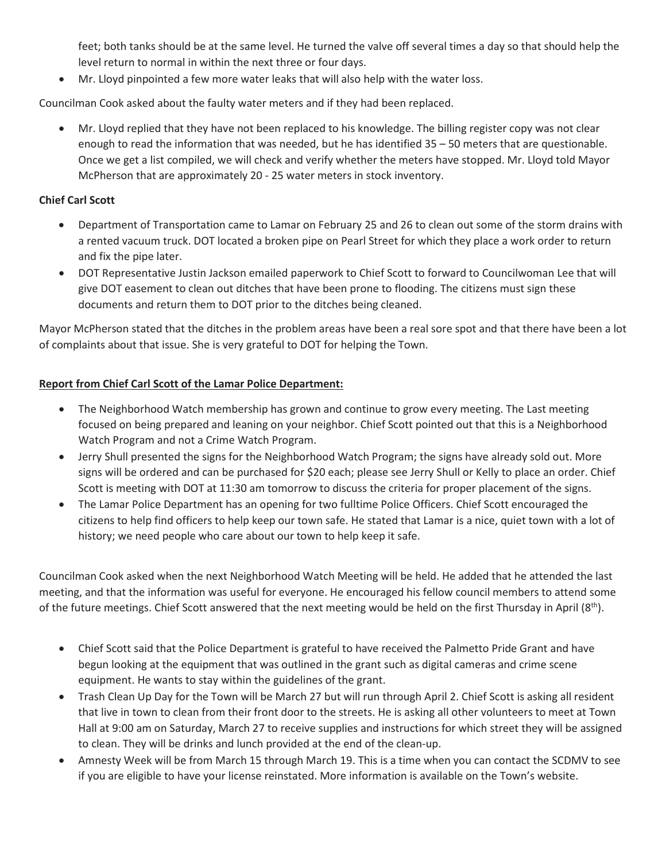feet; both tanks should be at the same level. He turned the valve off several times a day so that should help the level return to normal in within the next three or four days.

• Mr. Lloyd pinpointed a few more water leaks that will also help with the water loss.

Councilman Cook asked about the faulty water meters and if they had been replaced.

Mr. Lloyd replied that they have not been replaced to his knowledge. The billing register copy was not clear enough to read the information that was needed, but he has identified 35 – 50 meters that are questionable. Once we get a list compiled, we will check and verify whether the meters have stopped. Mr. Lloyd told Mayor McPherson that are approximately 20 - 25 water meters in stock inventory.

## **Chief Carl Scott**

- Department of Transportation came to Lamar on February 25 and 26 to clean out some of the storm drains with a rented vacuum truck. DOT located a broken pipe on Pearl Street for which they place a work order to return and fix the pipe later.
- DOT Representative Justin Jackson emailed paperwork to Chief Scott to forward to Councilwoman Lee that will give DOT easement to clean out ditches that have been prone to flooding. The citizens must sign these documents and return them to DOT prior to the ditches being cleaned.

Mayor McPherson stated that the ditches in the problem areas have been a real sore spot and that there have been a lot of complaints about that issue. She is very grateful to DOT for helping the Town.

## **Report from Chief Carl Scott of the Lamar Police Department:**

- The Neighborhood Watch membership has grown and continue to grow every meeting. The Last meeting focused on being prepared and leaning on your neighbor. Chief Scott pointed out that this is a Neighborhood Watch Program and not a Crime Watch Program.
- Jerry Shull presented the signs for the Neighborhood Watch Program; the signs have already sold out. More signs will be ordered and can be purchased for \$20 each; please see Jerry Shull or Kelly to place an order. Chief Scott is meeting with DOT at 11:30 am tomorrow to discuss the criteria for proper placement of the signs.
- The Lamar Police Department has an opening for two fulltime Police Officers. Chief Scott encouraged the citizens to help find officers to help keep our town safe. He stated that Lamar is a nice, quiet town with a lot of history; we need people who care about our town to help keep it safe.

Councilman Cook asked when the next Neighborhood Watch Meeting will be held. He added that he attended the last meeting, and that the information was useful for everyone. He encouraged his fellow council members to attend some of the future meetings. Chief Scott answered that the next meeting would be held on the first Thursday in April  $(8<sup>th</sup>)$ .

- Chief Scott said that the Police Department is grateful to have received the Palmetto Pride Grant and have begun looking at the equipment that was outlined in the grant such as digital cameras and crime scene equipment. He wants to stay within the guidelines of the grant.
- Trash Clean Up Day for the Town will be March 27 but will run through April 2. Chief Scott is asking all resident that live in town to clean from their front door to the streets. He is asking all other volunteers to meet at Town Hall at 9:00 am on Saturday, March 27 to receive supplies and instructions for which street they will be assigned to clean. They will be drinks and lunch provided at the end of the clean-up.
- x Amnesty Week will be from March 15 through March 19. This is a time when you can contact the SCDMV to see if you are eligible to have your license reinstated. More information is available on the Town's website.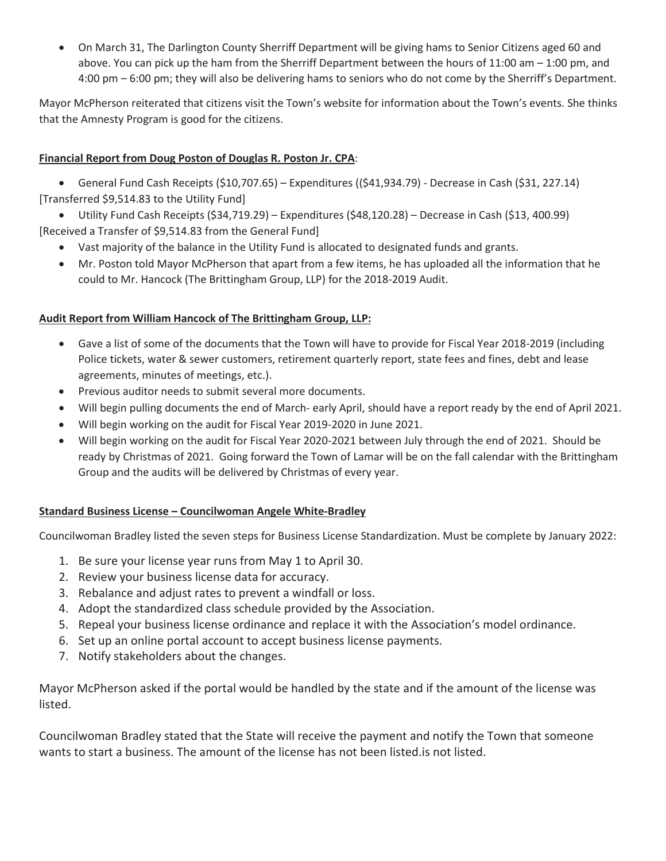• On March 31, The Darlington County Sherriff Department will be giving hams to Senior Citizens aged 60 and above. You can pick up the ham from the Sherriff Department between the hours of 11:00 am – 1:00 pm, and 4:00 pm – 6:00 pm; they will also be delivering hams to seniors who do not come by the Sherriff's Department.

Mayor McPherson reiterated that citizens visit the Town's website for information about the Town's events. She thinks that the Amnesty Program is good for the citizens.

# **Financial Report from Doug Poston of Douglas R. Poston Jr. CPA**:

x General Fund Cash Receipts (\$10,707.65) – Expenditures ((\$41,934.79) - Decrease in Cash (\$31, 227.14) [Transferred \$9,514.83 to the Utility Fund]

x Utility Fund Cash Receipts (\$34,719.29) – Expenditures (\$48,120.28) – Decrease in Cash (\$13, 400.99) [Received a Transfer of \$9,514.83 from the General Fund]

- Vast majority of the balance in the Utility Fund is allocated to designated funds and grants.
- Mr. Poston told Mayor McPherson that apart from a few items, he has uploaded all the information that he could to Mr. Hancock (The Brittingham Group, LLP) for the 2018-2019 Audit.

## **Audit Report from William Hancock of The Brittingham Group, LLP:**

- Gave a list of some of the documents that the Town will have to provide for Fiscal Year 2018-2019 (including Police tickets, water & sewer customers, retirement quarterly report, state fees and fines, debt and lease agreements, minutes of meetings, etc.).
- Previous auditor needs to submit several more documents.
- Will begin pulling documents the end of March- early April, should have a report ready by the end of April 2021.
- Will begin working on the audit for Fiscal Year 2019-2020 in June 2021.
- Will begin working on the audit for Fiscal Year 2020-2021 between July through the end of 2021. Should be ready by Christmas of 2021. Going forward the Town of Lamar will be on the fall calendar with the Brittingham Group and the audits will be delivered by Christmas of every year.

## **Standard Business License – Councilwoman Angele White-Bradley**

Councilwoman Bradley listed the seven steps for Business License Standardization. Must be complete by January 2022:

- 1. Be sure your license year runs from May 1 to April 30.
- 2. Review your business license data for accuracy.
- 3. Rebalance and adjust rates to prevent a windfall or loss.
- 4. Adopt the standardized class schedule provided by the Association.
- 5. Repeal your business license ordinance and replace it with the Association's model ordinance.
- 6. Set up an online portal account to accept business license payments.
- 7. Notify stakeholders about the changes.

Mayor McPherson asked if the portal would be handled by the state and if the amount of the license was listed.

Councilwoman Bradley stated that the State will receive the payment and notify the Town that someone wants to start a business. The amount of the license has not been listed.is not listed.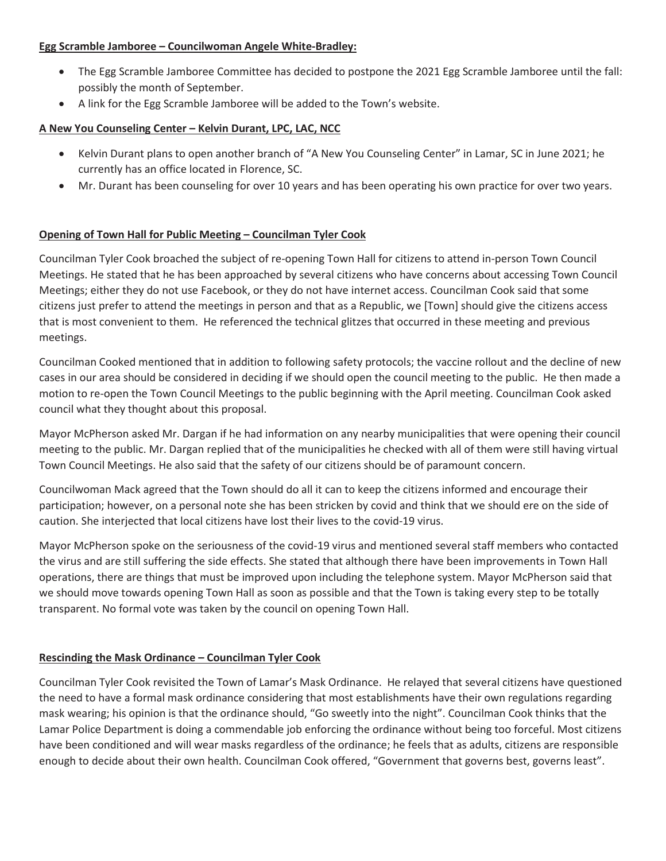### **Egg Scramble Jamboree – Councilwoman Angele White-Bradley:**

- The Egg Scramble Jamboree Committee has decided to postpone the 2021 Egg Scramble Jamboree until the fall: possibly the month of September.
- A link for the Egg Scramble Jamboree will be added to the Town's website.

## **A New You Counseling Center – Kelvin Durant, LPC, LAC, NCC**

- x Kelvin Durant plans to open another branch of "A New You Counseling Center" in Lamar, SC in June 2021; he currently has an office located in Florence, SC.
- Mr. Durant has been counseling for over 10 years and has been operating his own practice for over two years.

## **Opening of Town Hall for Public Meeting – Councilman Tyler Cook**

Councilman Tyler Cook broached the subject of re-opening Town Hall for citizens to attend in-person Town Council Meetings. He stated that he has been approached by several citizens who have concerns about accessing Town Council Meetings; either they do not use Facebook, or they do not have internet access. Councilman Cook said that some citizens just prefer to attend the meetings in person and that as a Republic, we [Town] should give the citizens access that is most convenient to them. He referenced the technical glitzes that occurred in these meeting and previous meetings.

Councilman Cooked mentioned that in addition to following safety protocols; the vaccine rollout and the decline of new cases in our area should be considered in deciding if we should open the council meeting to the public. He then made a motion to re-open the Town Council Meetings to the public beginning with the April meeting. Councilman Cook asked council what they thought about this proposal.

Mayor McPherson asked Mr. Dargan if he had information on any nearby municipalities that were opening their council meeting to the public. Mr. Dargan replied that of the municipalities he checked with all of them were still having virtual Town Council Meetings. He also said that the safety of our citizens should be of paramount concern.

Councilwoman Mack agreed that the Town should do all it can to keep the citizens informed and encourage their participation; however, on a personal note she has been stricken by covid and think that we should ere on the side of caution. She interjected that local citizens have lost their lives to the covid-19 virus.

Mayor McPherson spoke on the seriousness of the covid-19 virus and mentioned several staff members who contacted the virus and are still suffering the side effects. She stated that although there have been improvements in Town Hall operations, there are things that must be improved upon including the telephone system. Mayor McPherson said that we should move towards opening Town Hall as soon as possible and that the Town is taking every step to be totally transparent. No formal vote was taken by the council on opening Town Hall.

## **Rescinding the Mask Ordinance – Councilman Tyler Cook**

Councilman Tyler Cook revisited the Town of Lamar's Mask Ordinance. He relayed that several citizens have questioned the need to have a formal mask ordinance considering that most establishments have their own regulations regarding mask wearing; his opinion is that the ordinance should, "Go sweetly into the night". Councilman Cook thinks that the Lamar Police Department is doing a commendable job enforcing the ordinance without being too forceful. Most citizens have been conditioned and will wear masks regardless of the ordinance; he feels that as adults, citizens are responsible enough to decide about their own health. Councilman Cook offered, "Government that governs best, governs least".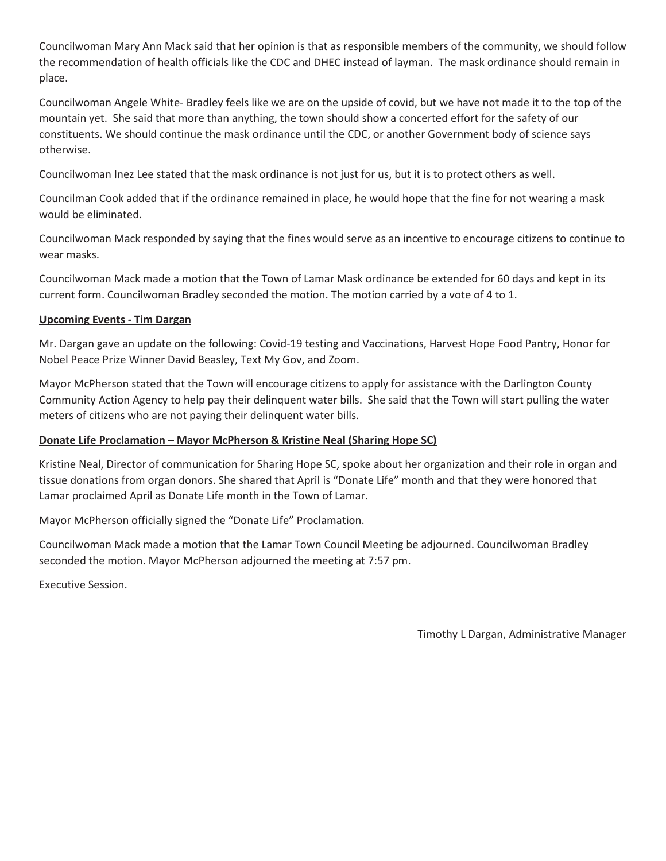Councilwoman Mary Ann Mack said that her opinion is that as responsible members of the community, we should follow the recommendation of health officials like the CDC and DHEC instead of layman. The mask ordinance should remain in place.

Councilwoman Angele White- Bradley feels like we are on the upside of covid, but we have not made it to the top of the mountain yet. She said that more than anything, the town should show a concerted effort for the safety of our constituents. We should continue the mask ordinance until the CDC, or another Government body of science says otherwise.

Councilwoman Inez Lee stated that the mask ordinance is not just for us, but it is to protect others as well.

Councilman Cook added that if the ordinance remained in place, he would hope that the fine for not wearing a mask would be eliminated.

Councilwoman Mack responded by saying that the fines would serve as an incentive to encourage citizens to continue to wear masks.

Councilwoman Mack made a motion that the Town of Lamar Mask ordinance be extended for 60 days and kept in its current form. Councilwoman Bradley seconded the motion. The motion carried by a vote of 4 to 1.

### **Upcoming Events - Tim Dargan**

Mr. Dargan gave an update on the following: Covid-19 testing and Vaccinations, Harvest Hope Food Pantry, Honor for Nobel Peace Prize Winner David Beasley, Text My Gov, and Zoom.

Mayor McPherson stated that the Town will encourage citizens to apply for assistance with the Darlington County Community Action Agency to help pay their delinquent water bills. She said that the Town will start pulling the water meters of citizens who are not paying their delinquent water bills.

#### **Donate Life Proclamation – Mayor McPherson & Kristine Neal (Sharing Hope SC)**

Kristine Neal, Director of communication for Sharing Hope SC, spoke about her organization and their role in organ and tissue donations from organ donors. She shared that April is "Donate Life" month and that they were honored that Lamar proclaimed April as Donate Life month in the Town of Lamar.

Mayor McPherson officially signed the "Donate Life" Proclamation.

Councilwoman Mack made a motion that the Lamar Town Council Meeting be adjourned. Councilwoman Bradley seconded the motion. Mayor McPherson adjourned the meeting at 7:57 pm.

Executive Session.

Timothy L Dargan, Administrative Manager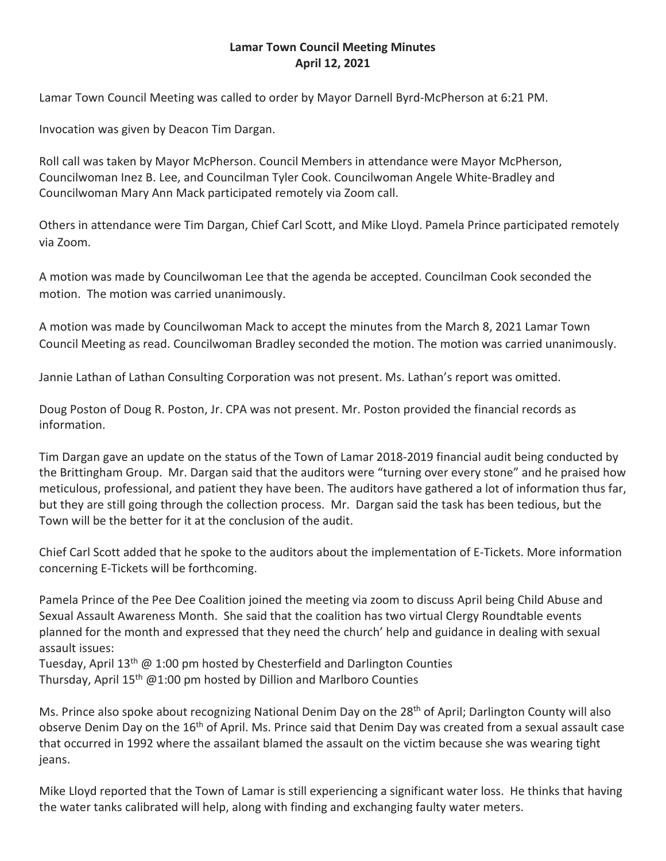# **Lamar Town Council Meeting Minutes April 12, 2021**

Lamar Town Council Meeting was called to order by Mayor Darnell Byrd-McPherson at 6:21 PM.

Invocation was given by Deacon Tim Dargan.

Roll call was taken by Mayor McPherson. Council Members in attendance were Mayor McPherson, Councilwoman Inez B. Lee, and Councilman Tyler Cook. Councilwoman Angele White-Bradley and Councilwoman Mary Ann Mack participated remotely via Zoom call.

Others in attendance were Tim Dargan, Chief Carl Scott, and Mike Lloyd. Pamela Prince participated remotely via Zoom.

A motion was made by Councilwoman Lee that the agenda be accepted. Councilman Cook seconded the motion. The motion was carried unanimously.

A motion was made by Councilwoman Mack to accept the minutes from the March 8, 2021 Lamar Town Council Meeting as read. Councilwoman Bradley seconded the motion. The motion was carried unanimously.

Jannie Lathan of Lathan Consulting Corporation was not present. Ms. Lathan's report was omitted.

Doug Poston of Doug R. Poston, Jr. CPA was not present. Mr. Poston provided the financial records as information.

Tim Dargan gave an update on the status of the Town of Lamar 2018-2019 financial audit being conducted by the Brittingham Group. Mr. Dargan said that the auditors were "turning over every stone" and he praised how meticulous, professional, and patient they have been. The auditors have gathered a lot of information thus far, but they are still going through the collection process. Mr. Dargan said the task has been tedious, but the Town will be the better for it at the conclusion of the audit.

Chief Carl Scott added that he spoke to the auditors about the implementation of E-Tickets. More information concerning E-Tickets will be forthcoming.

Pamela Prince of the Pee Dee Coalition joined the meeting via zoom to discuss April being Child Abuse and Sexual Assault Awareness Month. She said that the coalition has two virtual Clergy Roundtable events planned for the month and expressed that they need the church' help and guidance in dealing with sexual assault issues:

Tuesday, April  $13<sup>th</sup>$  @ 1:00 pm hosted by Chesterfield and Darlington Counties Thursday, April  $15<sup>th</sup>$  @1:00 pm hosted by Dillion and Marlboro Counties

Ms. Prince also spoke about recognizing National Denim Day on the 28<sup>th</sup> of April; Darlington County will also observe Denim Day on the 16<sup>th</sup> of April. Ms. Prince said that Denim Day was created from a sexual assault case that occurred in 1992 where the assailant blamed the assault on the victim because she was wearing tight jeans.

Mike Lloyd reported that the Town of Lamar is still experiencing a significant water loss. He thinks that having the water tanks calibrated will help, along with finding and exchanging faulty water meters.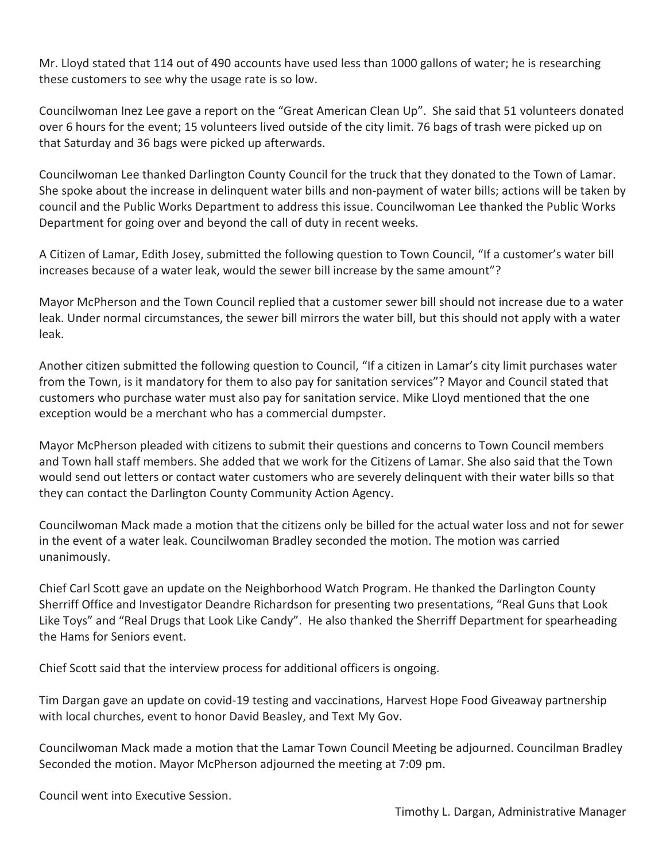Mr. Lloyd stated that 114 out of 490 accounts have used less than 1000 gallons of water; he is researching these customers to see why the usage rate is so low.

Councilwoman Inez Lee gave a report on the "Great American Clean Up". She said that 51 volunteers donated over 6 hours for the event; 15 volunteers lived outside of the city limit. 76 bags of trash were picked up on that Saturday and 36 bags were picked up afterwards.

Councilwoman Lee thanked Darlington County Council for the truck that they donated to the Town of Lamar. She spoke about the increase in delinquent water bills and non-payment of water bills; actions will be taken by council and the Public Works Department to address this issue. Councilwoman Lee thanked the Public Works Department for going over and beyond the call of duty in recent weeks.

A Citizen of Lamar, Edith Josey, submitted the following question to Town Council, "If a customer's water bill increases because of a water leak, would the sewer bill increase by the same amount"?

Mayor McPherson and the Town Council replied that a customer sewer bill should not increase due to a water leak. Under normal circumstances, the sewer bill mirrors the water bill, but this should not apply with a water leak.

Another citizen submitted the following question to Council, "If a citizen in Lamar's city limit purchases water from the Town, is it mandatory for them to also pay for sanitation services"? Mayor and Council stated that customers who purchase water must also pay for sanitation service. Mike Lloyd mentioned that the one exception would be a merchant who has a commercial dumpster.

Mayor McPherson pleaded with citizens to submit their questions and concerns to Town Council members and Town hall staff members. She added that we work for the Citizens of Lamar. She also said that the Town would send out letters or contact water customers who are severely delinquent with their water bills so that they can contact the Darlington County Community Action Agency.

Councilwoman Mack made a motion that the citizens only be billed for the actual water loss and not for sewer in the event of a water leak. Councilwoman Bradley seconded the motion. The motion was carried unanimously.

Chief Carl Scott gave an update on the Neighborhood Watch Program. He thanked the Darlington County Sherriff Office and Investigator Deandre Richardson for presenting two presentations, "Real Guns that Look Like Toys" and "Real Drugs that Look Like Candy". He also thanked the Sherriff Department for spearheading the Hams for Seniors event.

Chief Scott said that the interview process for additional officers is ongoing.

Tim Dargan gave an update on covid-19 testing and vaccinations, Harvest Hope Food Giveaway partnership with local churches, event to honor David Beasley, and Text My Gov.

Councilwoman Mack made a motion that the Lamar Town Council Meeting be adjourned. Councilman Bradley Seconded the motion. Mayor McPherson adjourned the meeting at 7:09 pm.

Council went into Executive Session.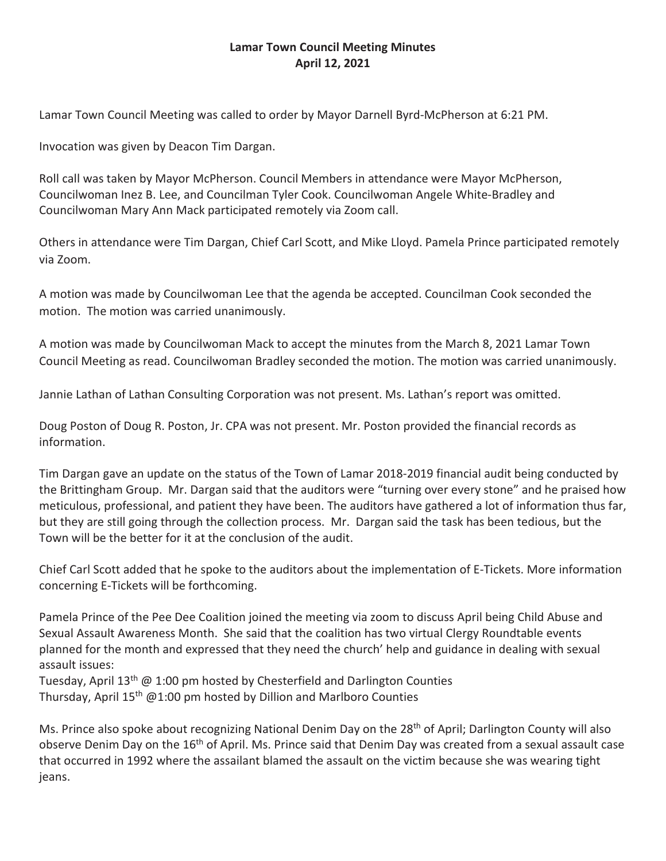# **Lamar Town Council Meeting Minutes April 12, 2021**

Lamar Town Council Meeting was called to order by Mayor Darnell Byrd-McPherson at 6:21 PM.

Invocation was given by Deacon Tim Dargan.

Roll call was taken by Mayor McPherson. Council Members in attendance were Mayor McPherson, Councilwoman Inez B. Lee, and Councilman Tyler Cook. Councilwoman Angele White-Bradley and Councilwoman Mary Ann Mack participated remotely via Zoom call.

Others in attendance were Tim Dargan, Chief Carl Scott, and Mike Lloyd. Pamela Prince participated remotely via Zoom.

A motion was made by Councilwoman Lee that the agenda be accepted. Councilman Cook seconded the motion. The motion was carried unanimously.

A motion was made by Councilwoman Mack to accept the minutes from the March 8, 2021 Lamar Town Council Meeting as read. Councilwoman Bradley seconded the motion. The motion was carried unanimously.

Jannie Lathan of Lathan Consulting Corporation was not present. Ms. Lathan's report was omitted.

Doug Poston of Doug R. Poston, Jr. CPA was not present. Mr. Poston provided the financial records as information.

Tim Dargan gave an update on the status of the Town of Lamar 2018-2019 financial audit being conducted by the Brittingham Group. Mr. Dargan said that the auditors were "turning over every stone" and he praised how meticulous, professional, and patient they have been. The auditors have gathered a lot of information thus far, but they are still going through the collection process. Mr. Dargan said the task has been tedious, but the Town will be the better for it at the conclusion of the audit.

Chief Carl Scott added that he spoke to the auditors about the implementation of E-Tickets. More information concerning E-Tickets will be forthcoming.

Pamela Prince of the Pee Dee Coalition joined the meeting via zoom to discuss April being Child Abuse and Sexual Assault Awareness Month. She said that the coalition has two virtual Clergy Roundtable events planned for the month and expressed that they need the church' help and guidance in dealing with sexual assault issues:

Tuesday, April 13<sup>th</sup>  $\omega$  1:00 pm hosted by Chesterfield and Darlington Counties Thursday, April  $15<sup>th</sup>$  @1:00 pm hosted by Dillion and Marlboro Counties

Ms. Prince also spoke about recognizing National Denim Day on the 28<sup>th</sup> of April; Darlington County will also observe Denim Day on the 16<sup>th</sup> of April. Ms. Prince said that Denim Day was created from a sexual assault case that occurred in 1992 where the assailant blamed the assault on the victim because she was wearing tight jeans.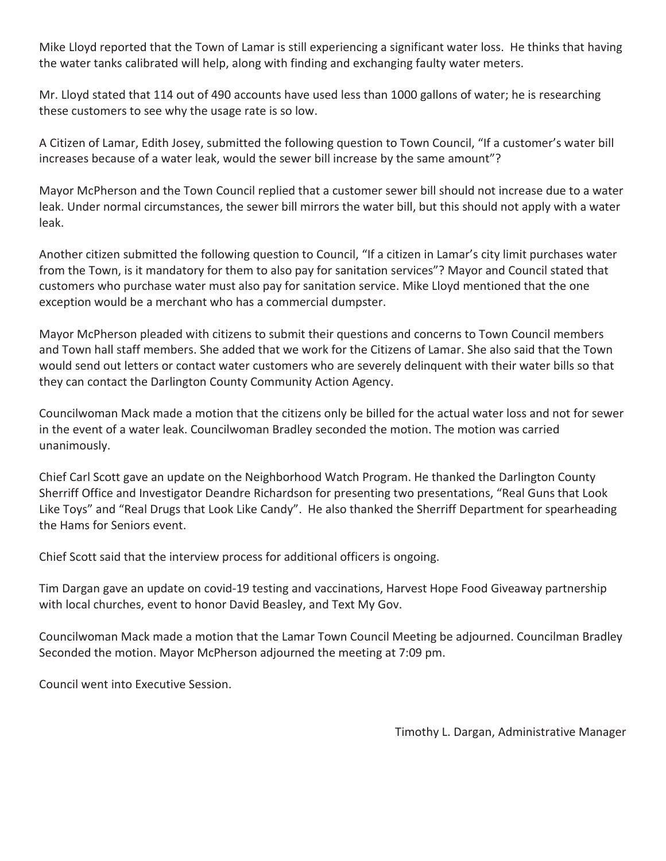Mike Lloyd reported that the Town of Lamar is still experiencing a significant water loss. He thinks that having the water tanks calibrated will help, along with finding and exchanging faulty water meters.

Mr. Lloyd stated that 114 out of 490 accounts have used less than 1000 gallons of water; he is researching these customers to see why the usage rate is so low.

A Citizen of Lamar, Edith Josey, submitted the following question to Town Council, "If a customer's water bill increases because of a water leak, would the sewer bill increase by the same amount"?

Mayor McPherson and the Town Council replied that a customer sewer bill should not increase due to a water leak. Under normal circumstances, the sewer bill mirrors the water bill, but this should not apply with a water leak.

Another citizen submitted the following question to Council, "If a citizen in Lamar's city limit purchases water from the Town, is it mandatory for them to also pay for sanitation services"? Mayor and Council stated that customers who purchase water must also pay for sanitation service. Mike Lloyd mentioned that the one exception would be a merchant who has a commercial dumpster.

Mayor McPherson pleaded with citizens to submit their questions and concerns to Town Council members and Town hall staff members. She added that we work for the Citizens of Lamar. She also said that the Town would send out letters or contact water customers who are severely delinquent with their water bills so that they can contact the Darlington County Community Action Agency.

Councilwoman Mack made a motion that the citizens only be billed for the actual water loss and not for sewer in the event of a water leak. Councilwoman Bradley seconded the motion. The motion was carried unanimously.

Chief Carl Scott gave an update on the Neighborhood Watch Program. He thanked the Darlington County Sherriff Office and Investigator Deandre Richardson for presenting two presentations, "Real Guns that Look Like Toys" and "Real Drugs that Look Like Candy". He also thanked the Sherriff Department for spearheading the Hams for Seniors event.

Chief Scott said that the interview process for additional officers is ongoing.

Tim Dargan gave an update on covid-19 testing and vaccinations, Harvest Hope Food Giveaway partnership with local churches, event to honor David Beasley, and Text My Gov.

Councilwoman Mack made a motion that the Lamar Town Council Meeting be adjourned. Councilman Bradley Seconded the motion. Mayor McPherson adjourned the meeting at 7:09 pm.

Council went into Executive Session.

Timothy L. Dargan, Administrative Manager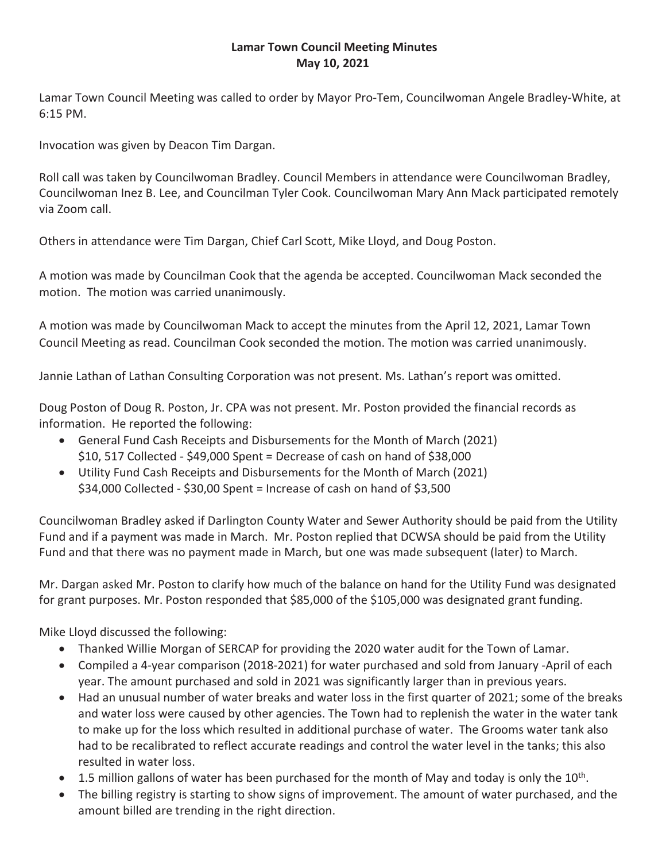# **Lamar Town Council Meeting Minutes May 10, 2021**

Lamar Town Council Meeting was called to order by Mayor Pro-Tem, Councilwoman Angele Bradley-White, at 6:15 PM.

Invocation was given by Deacon Tim Dargan.

Roll call was taken by Councilwoman Bradley. Council Members in attendance were Councilwoman Bradley, Councilwoman Inez B. Lee, and Councilman Tyler Cook. Councilwoman Mary Ann Mack participated remotely via Zoom call.

Others in attendance were Tim Dargan, Chief Carl Scott, Mike Lloyd, and Doug Poston.

A motion was made by Councilman Cook that the agenda be accepted. Councilwoman Mack seconded the motion. The motion was carried unanimously.

A motion was made by Councilwoman Mack to accept the minutes from the April 12, 2021, Lamar Town Council Meeting as read. Councilman Cook seconded the motion. The motion was carried unanimously.

Jannie Lathan of Lathan Consulting Corporation was not present. Ms. Lathan's report was omitted.

Doug Poston of Doug R. Poston, Jr. CPA was not present. Mr. Poston provided the financial records as information. He reported the following:

- General Fund Cash Receipts and Disbursements for the Month of March (2021) \$10, 517 Collected - \$49,000 Spent = Decrease of cash on hand of \$38,000
- Utility Fund Cash Receipts and Disbursements for the Month of March (2021) \$34,000 Collected - \$30,00 Spent = Increase of cash on hand of \$3,500

Councilwoman Bradley asked if Darlington County Water and Sewer Authority should be paid from the Utility Fund and if a payment was made in March. Mr. Poston replied that DCWSA should be paid from the Utility Fund and that there was no payment made in March, but one was made subsequent (later) to March.

Mr. Dargan asked Mr. Poston to clarify how much of the balance on hand for the Utility Fund was designated for grant purposes. Mr. Poston responded that \$85,000 of the \$105,000 was designated grant funding.

Mike Lloyd discussed the following:

- Thanked Willie Morgan of SERCAP for providing the 2020 water audit for the Town of Lamar.
- Compiled a 4-year comparison (2018-2021) for water purchased and sold from January -April of each year. The amount purchased and sold in 2021 was significantly larger than in previous years.
- Had an unusual number of water breaks and water loss in the first quarter of 2021; some of the breaks and water loss were caused by other agencies. The Town had to replenish the water in the water tank to make up for the loss which resulted in additional purchase of water. The Grooms water tank also had to be recalibrated to reflect accurate readings and control the water level in the tanks; this also resulted in water loss.
- $\bullet$  1.5 million gallons of water has been purchased for the month of May and today is only the 10<sup>th</sup>.
- The billing registry is starting to show signs of improvement. The amount of water purchased, and the amount billed are trending in the right direction.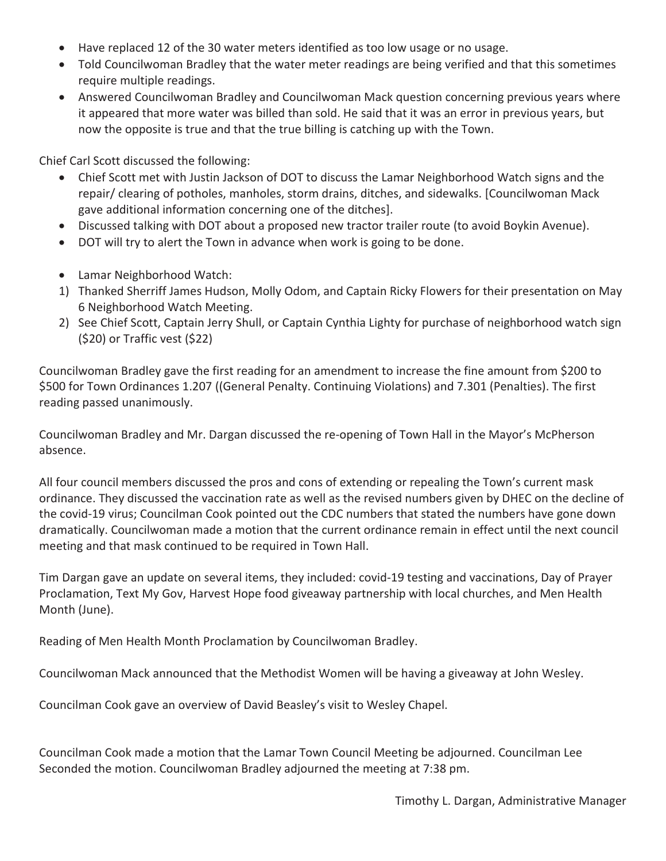- Have replaced 12 of the 30 water meters identified as too low usage or no usage.
- Told Councilwoman Bradley that the water meter readings are being verified and that this sometimes require multiple readings.
- Answered Councilwoman Bradley and Councilwoman Mack question concerning previous years where it appeared that more water was billed than sold. He said that it was an error in previous years, but now the opposite is true and that the true billing is catching up with the Town.

Chief Carl Scott discussed the following:

- Chief Scott met with Justin Jackson of DOT to discuss the Lamar Neighborhood Watch signs and the repair/ clearing of potholes, manholes, storm drains, ditches, and sidewalks. [Councilwoman Mack gave additional information concerning one of the ditches].
- Discussed talking with DOT about a proposed new tractor trailer route (to avoid Boykin Avenue).
- DOT will try to alert the Town in advance when work is going to be done.
- Lamar Neighborhood Watch:
- 1) Thanked Sherriff James Hudson, Molly Odom, and Captain Ricky Flowers for their presentation on May 6 Neighborhood Watch Meeting.
- 2) See Chief Scott, Captain Jerry Shull, or Captain Cynthia Lighty for purchase of neighborhood watch sign (\$20) or Traffic vest (\$22)

Councilwoman Bradley gave the first reading for an amendment to increase the fine amount from \$200 to \$500 for Town Ordinances 1.207 ((General Penalty. Continuing Violations) and 7.301 (Penalties). The first reading passed unanimously.

Councilwoman Bradley and Mr. Dargan discussed the re-opening of Town Hall in the Mayor's McPherson absence.

All four council members discussed the pros and cons of extending or repealing the Town's current mask ordinance. They discussed the vaccination rate as well as the revised numbers given by DHEC on the decline of the covid-19 virus; Councilman Cook pointed out the CDC numbers that stated the numbers have gone down dramatically. Councilwoman made a motion that the current ordinance remain in effect until the next council meeting and that mask continued to be required in Town Hall.

Tim Dargan gave an update on several items, they included: covid-19 testing and vaccinations, Day of Prayer Proclamation, Text My Gov, Harvest Hope food giveaway partnership with local churches, and Men Health Month (June).

Reading of Men Health Month Proclamation by Councilwoman Bradley.

Councilwoman Mack announced that the Methodist Women will be having a giveaway at John Wesley.

Councilman Cook gave an overview of David Beasley's visit to Wesley Chapel.

Councilman Cook made a motion that the Lamar Town Council Meeting be adjourned. Councilman Lee Seconded the motion. Councilwoman Bradley adjourned the meeting at 7:38 pm.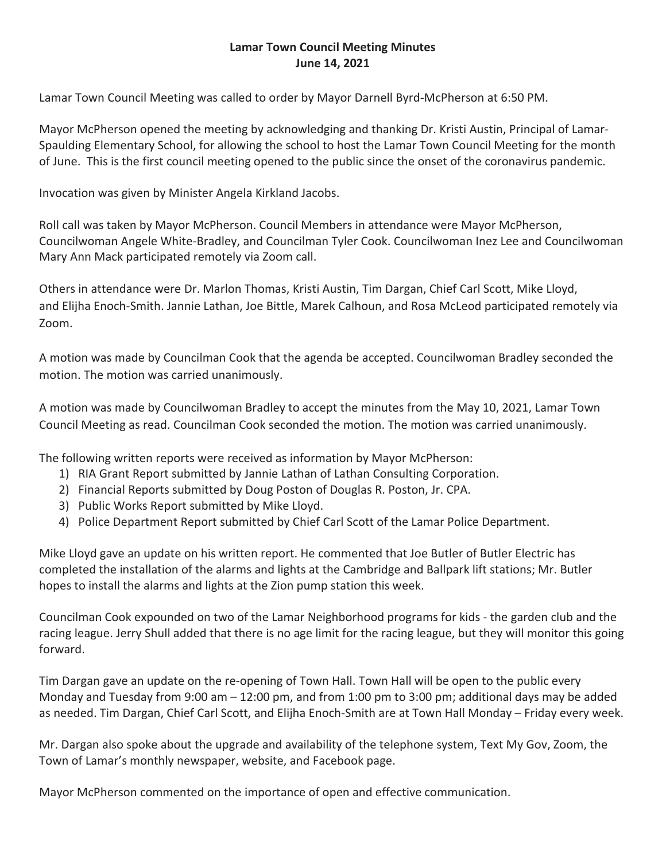# **Lamar Town Council Meeting Minutes June 14, 2021**

Lamar Town Council Meeting was called to order by Mayor Darnell Byrd-McPherson at 6:50 PM.

Mayor McPherson opened the meeting by acknowledging and thanking Dr. Kristi Austin, Principal of Lamar-Spaulding Elementary School, for allowing the school to host the Lamar Town Council Meeting for the month of June. This is the first council meeting opened to the public since the onset of the coronavirus pandemic.

Invocation was given by Minister Angela Kirkland Jacobs.

Roll call was taken by Mayor McPherson. Council Members in attendance were Mayor McPherson, Councilwoman Angele White-Bradley, and Councilman Tyler Cook. Councilwoman Inez Lee and Councilwoman Mary Ann Mack participated remotely via Zoom call.

Others in attendance were Dr. Marlon Thomas, Kristi Austin, Tim Dargan, Chief Carl Scott, Mike Lloyd, and Elijha Enoch-Smith. Jannie Lathan, Joe Bittle, Marek Calhoun, and Rosa McLeod participated remotely via Zoom.

A motion was made by Councilman Cook that the agenda be accepted. Councilwoman Bradley seconded the motion. The motion was carried unanimously.

A motion was made by Councilwoman Bradley to accept the minutes from the May 10, 2021, Lamar Town Council Meeting as read. Councilman Cook seconded the motion. The motion was carried unanimously.

The following written reports were received as information by Mayor McPherson:

- 1) RIA Grant Report submitted by Jannie Lathan of Lathan Consulting Corporation.
- 2) Financial Reports submitted by Doug Poston of Douglas R. Poston, Jr. CPA.
- 3) Public Works Report submitted by Mike Lloyd.
- 4) Police Department Report submitted by Chief Carl Scott of the Lamar Police Department.

Mike Lloyd gave an update on his written report. He commented that Joe Butler of Butler Electric has completed the installation of the alarms and lights at the Cambridge and Ballpark lift stations; Mr. Butler hopes to install the alarms and lights at the Zion pump station this week.

Councilman Cook expounded on two of the Lamar Neighborhood programs for kids - the garden club and the racing league. Jerry Shull added that there is no age limit for the racing league, but they will monitor this going forward.

Tim Dargan gave an update on the re-opening of Town Hall. Town Hall will be open to the public every Monday and Tuesday from 9:00 am – 12:00 pm, and from 1:00 pm to 3:00 pm; additional days may be added as needed. Tim Dargan, Chief Carl Scott, and Elijha Enoch-Smith are at Town Hall Monday – Friday every week.

Mr. Dargan also spoke about the upgrade and availability of the telephone system, Text My Gov, Zoom, the Town of Lamar's monthly newspaper, website, and Facebook page.

Mayor McPherson commented on the importance of open and effective communication.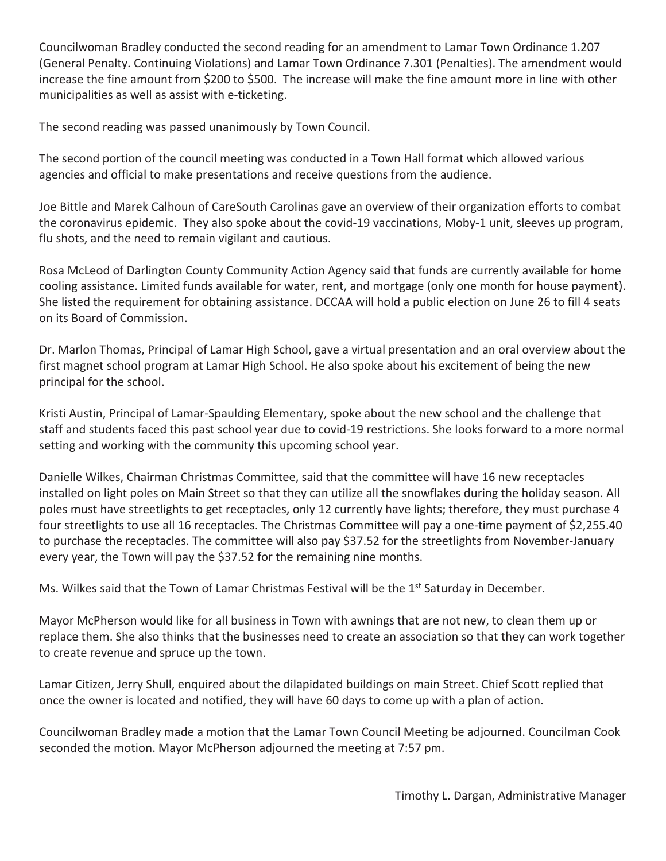Councilwoman Bradley conducted the second reading for an amendment to Lamar Town Ordinance 1.207 (General Penalty. Continuing Violations) and Lamar Town Ordinance 7.301 (Penalties). The amendment would increase the fine amount from \$200 to \$500. The increase will make the fine amount more in line with other municipalities as well as assist with e-ticketing.

The second reading was passed unanimously by Town Council.

The second portion of the council meeting was conducted in a Town Hall format which allowed various agencies and official to make presentations and receive questions from the audience.

Joe Bittle and Marek Calhoun of CareSouth Carolinas gave an overview of their organization efforts to combat the coronavirus epidemic. They also spoke about the covid-19 vaccinations, Moby-1 unit, sleeves up program, flu shots, and the need to remain vigilant and cautious.

Rosa McLeod of Darlington County Community Action Agency said that funds are currently available for home cooling assistance. Limited funds available for water, rent, and mortgage (only one month for house payment). She listed the requirement for obtaining assistance. DCCAA will hold a public election on June 26 to fill 4 seats on its Board of Commission.

Dr. Marlon Thomas, Principal of Lamar High School, gave a virtual presentation and an oral overview about the first magnet school program at Lamar High School. He also spoke about his excitement of being the new principal for the school.

Kristi Austin, Principal of Lamar-Spaulding Elementary, spoke about the new school and the challenge that staff and students faced this past school year due to covid-19 restrictions. She looks forward to a more normal setting and working with the community this upcoming school year.

Danielle Wilkes, Chairman Christmas Committee, said that the committee will have 16 new receptacles installed on light poles on Main Street so that they can utilize all the snowflakes during the holiday season. All poles must have streetlights to get receptacles, only 12 currently have lights; therefore, they must purchase 4 four streetlights to use all 16 receptacles. The Christmas Committee will pay a one-time payment of \$2,255.40 to purchase the receptacles. The committee will also pay \$37.52 for the streetlights from November-January every year, the Town will pay the \$37.52 for the remaining nine months.

Ms. Wilkes said that the Town of Lamar Christmas Festival will be the 1<sup>st</sup> Saturday in December.

Mayor McPherson would like for all business in Town with awnings that are not new, to clean them up or replace them. She also thinks that the businesses need to create an association so that they can work together to create revenue and spruce up the town.

Lamar Citizen, Jerry Shull, enquired about the dilapidated buildings on main Street. Chief Scott replied that once the owner is located and notified, they will have 60 days to come up with a plan of action.

Councilwoman Bradley made a motion that the Lamar Town Council Meeting be adjourned. Councilman Cook seconded the motion. Mayor McPherson adjourned the meeting at 7:57 pm.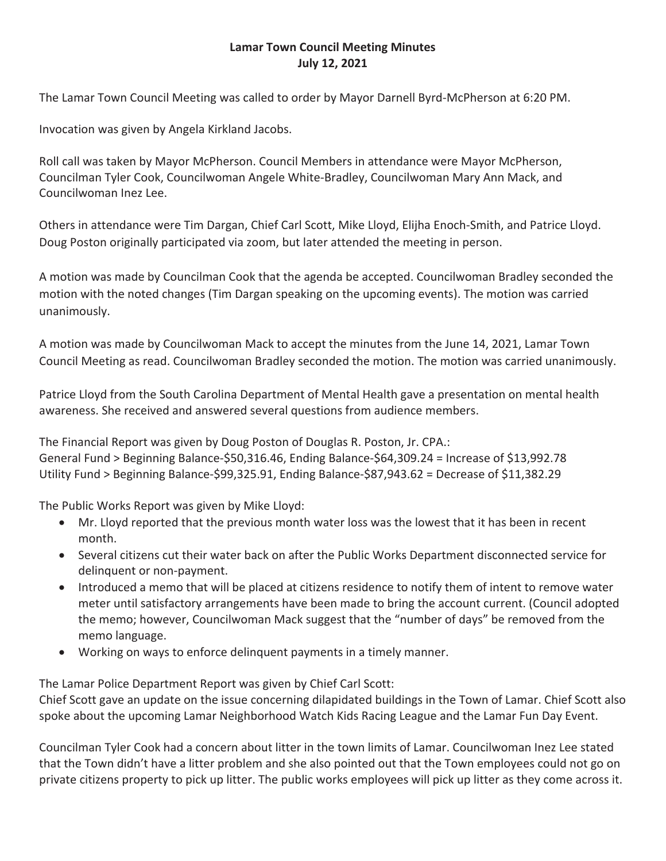# **Lamar Town Council Meeting Minutes July 12, 2021**

The Lamar Town Council Meeting was called to order by Mayor Darnell Byrd-McPherson at 6:20 PM.

Invocation was given by Angela Kirkland Jacobs.

Roll call was taken by Mayor McPherson. Council Members in attendance were Mayor McPherson, Councilman Tyler Cook, Councilwoman Angele White-Bradley, Councilwoman Mary Ann Mack, and Councilwoman Inez Lee.

Others in attendance were Tim Dargan, Chief Carl Scott, Mike Lloyd, Elijha Enoch-Smith, and Patrice Lloyd. Doug Poston originally participated via zoom, but later attended the meeting in person.

A motion was made by Councilman Cook that the agenda be accepted. Councilwoman Bradley seconded the motion with the noted changes (Tim Dargan speaking on the upcoming events). The motion was carried unanimously.

A motion was made by Councilwoman Mack to accept the minutes from the June 14, 2021, Lamar Town Council Meeting as read. Councilwoman Bradley seconded the motion. The motion was carried unanimously.

Patrice Lloyd from the South Carolina Department of Mental Health gave a presentation on mental health awareness. She received and answered several questions from audience members.

The Financial Report was given by Doug Poston of Douglas R. Poston, Jr. CPA.: General Fund > Beginning Balance-\$50,316.46, Ending Balance-\$64,309.24 = Increase of \$13,992.78 Utility Fund > Beginning Balance-\$99,325.91, Ending Balance-\$87,943.62 = Decrease of \$11,382.29

The Public Works Report was given by Mike Lloyd:

- Mr. Lloyd reported that the previous month water loss was the lowest that it has been in recent month.
- Several citizens cut their water back on after the Public Works Department disconnected service for delinquent or non-payment.
- Introduced a memo that will be placed at citizens residence to notify them of intent to remove water meter until satisfactory arrangements have been made to bring the account current. (Council adopted the memo; however, Councilwoman Mack suggest that the "number of days" be removed from the memo language.
- Working on ways to enforce delinquent payments in a timely manner.

The Lamar Police Department Report was given by Chief Carl Scott:

Chief Scott gave an update on the issue concerning dilapidated buildings in the Town of Lamar. Chief Scott also spoke about the upcoming Lamar Neighborhood Watch Kids Racing League and the Lamar Fun Day Event.

Councilman Tyler Cook had a concern about litter in the town limits of Lamar. Councilwoman Inez Lee stated that the Town didn't have a litter problem and she also pointed out that the Town employees could not go on private citizens property to pick up litter. The public works employees will pick up litter as they come across it.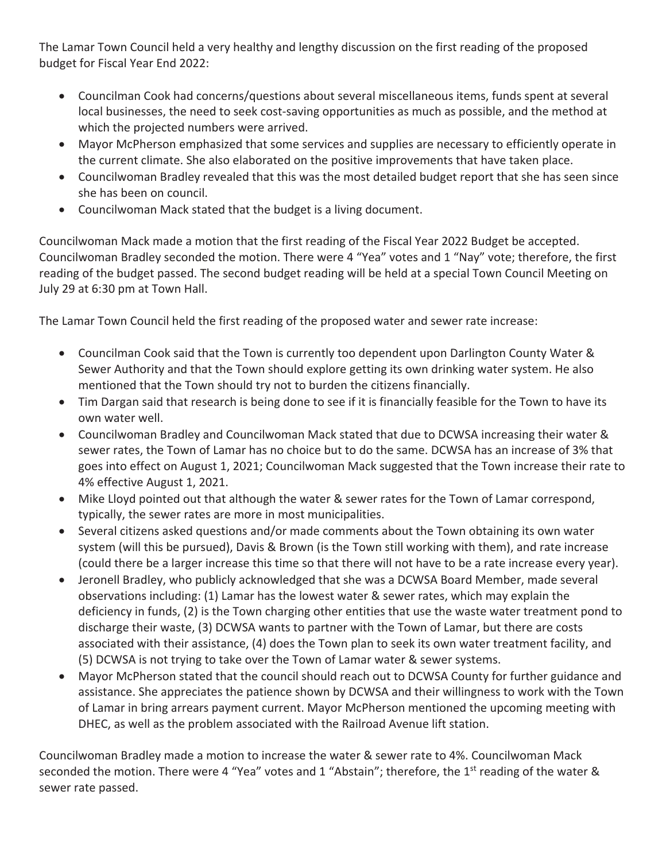The Lamar Town Council held a very healthy and lengthy discussion on the first reading of the proposed budget for Fiscal Year End 2022:

- Councilman Cook had concerns/questions about several miscellaneous items, funds spent at several local businesses, the need to seek cost-saving opportunities as much as possible, and the method at which the projected numbers were arrived.
- Mayor McPherson emphasized that some services and supplies are necessary to efficiently operate in the current climate. She also elaborated on the positive improvements that have taken place.
- Councilwoman Bradley revealed that this was the most detailed budget report that she has seen since she has been on council.
- Councilwoman Mack stated that the budget is a living document.

Councilwoman Mack made a motion that the first reading of the Fiscal Year 2022 Budget be accepted. Councilwoman Bradley seconded the motion. There were 4 "Yea" votes and 1 "Nay" vote; therefore, the first reading of the budget passed. The second budget reading will be held at a special Town Council Meeting on July 29 at 6:30 pm at Town Hall.

The Lamar Town Council held the first reading of the proposed water and sewer rate increase:

- Councilman Cook said that the Town is currently too dependent upon Darlington County Water & Sewer Authority and that the Town should explore getting its own drinking water system. He also mentioned that the Town should try not to burden the citizens financially.
- Tim Dargan said that research is being done to see if it is financially feasible for the Town to have its own water well.
- Councilwoman Bradley and Councilwoman Mack stated that due to DCWSA increasing their water & sewer rates, the Town of Lamar has no choice but to do the same. DCWSA has an increase of 3% that goes into effect on August 1, 2021; Councilwoman Mack suggested that the Town increase their rate to 4% effective August 1, 2021.
- Mike Lloyd pointed out that although the water & sewer rates for the Town of Lamar correspond, typically, the sewer rates are more in most municipalities.
- Several citizens asked questions and/or made comments about the Town obtaining its own water system (will this be pursued), Davis & Brown (is the Town still working with them), and rate increase (could there be a larger increase this time so that there will not have to be a rate increase every year).
- Jeronell Bradley, who publicly acknowledged that she was a DCWSA Board Member, made several observations including: (1) Lamar has the lowest water & sewer rates, which may explain the deficiency in funds, (2) is the Town charging other entities that use the waste water treatment pond to discharge their waste, (3) DCWSA wants to partner with the Town of Lamar, but there are costs associated with their assistance, (4) does the Town plan to seek its own water treatment facility, and (5) DCWSA is not trying to take over the Town of Lamar water & sewer systems.
- Mayor McPherson stated that the council should reach out to DCWSA County for further guidance and assistance. She appreciates the patience shown by DCWSA and their willingness to work with the Town of Lamar in bring arrears payment current. Mayor McPherson mentioned the upcoming meeting with DHEC, as well as the problem associated with the Railroad Avenue lift station.

Councilwoman Bradley made a motion to increase the water & sewer rate to 4%. Councilwoman Mack seconded the motion. There were 4 "Yea" votes and 1 "Abstain"; therefore, the 1<sup>st</sup> reading of the water & sewer rate passed.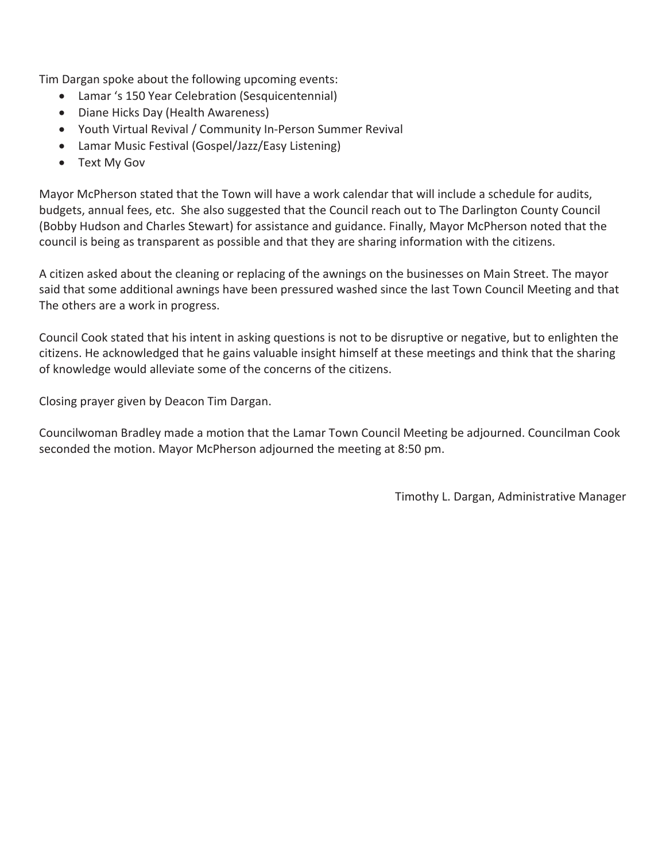Tim Dargan spoke about the following upcoming events:

- Lamar 's 150 Year Celebration (Sesquicentennial)
- Diane Hicks Day (Health Awareness)
- Youth Virtual Revival / Community In-Person Summer Revival
- Lamar Music Festival (Gospel/Jazz/Easy Listening)
- Text My Gov

Mayor McPherson stated that the Town will have a work calendar that will include a schedule for audits, budgets, annual fees, etc. She also suggested that the Council reach out to The Darlington County Council (Bobby Hudson and Charles Stewart) for assistance and guidance. Finally, Mayor McPherson noted that the council is being as transparent as possible and that they are sharing information with the citizens.

A citizen asked about the cleaning or replacing of the awnings on the businesses on Main Street. The mayor said that some additional awnings have been pressured washed since the last Town Council Meeting and that The others are a work in progress.

Council Cook stated that his intent in asking questions is not to be disruptive or negative, but to enlighten the citizens. He acknowledged that he gains valuable insight himself at these meetings and think that the sharing of knowledge would alleviate some of the concerns of the citizens.

Closing prayer given by Deacon Tim Dargan.

Councilwoman Bradley made a motion that the Lamar Town Council Meeting be adjourned. Councilman Cook seconded the motion. Mayor McPherson adjourned the meeting at 8:50 pm.

Timothy L. Dargan, Administrative Manager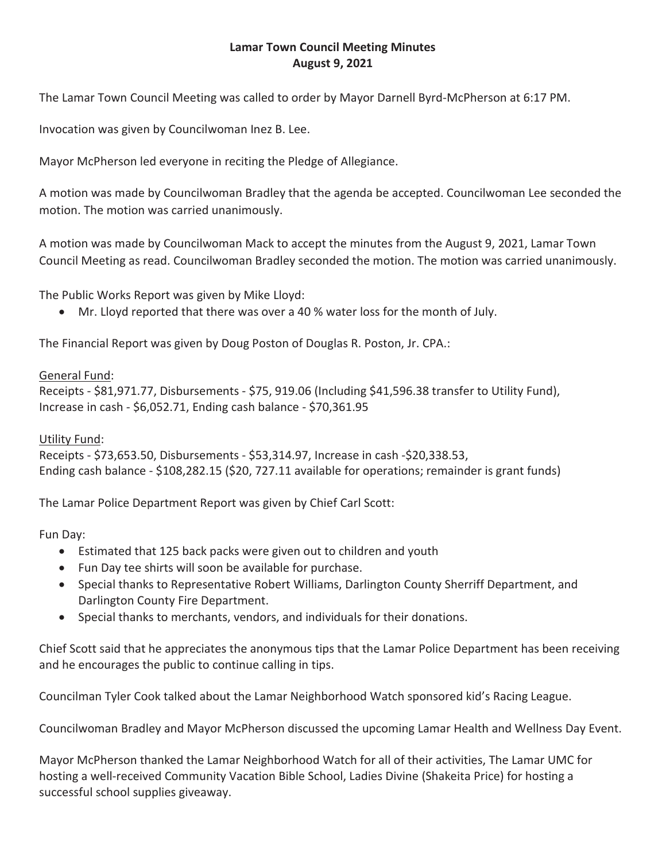# **Lamar Town Council Meeting Minutes August 9, 2021**

The Lamar Town Council Meeting was called to order by Mayor Darnell Byrd-McPherson at 6:17 PM.

Invocation was given by Councilwoman Inez B. Lee.

Mayor McPherson led everyone in reciting the Pledge of Allegiance.

A motion was made by Councilwoman Bradley that the agenda be accepted. Councilwoman Lee seconded the motion. The motion was carried unanimously.

A motion was made by Councilwoman Mack to accept the minutes from the August 9, 2021, Lamar Town Council Meeting as read. Councilwoman Bradley seconded the motion. The motion was carried unanimously.

The Public Works Report was given by Mike Lloyd:

• Mr. Lloyd reported that there was over a 40 % water loss for the month of July.

The Financial Report was given by Doug Poston of Douglas R. Poston, Jr. CPA.:

## General Fund:

Receipts - \$81,971.77, Disbursements - \$75, 919.06 (Including \$41,596.38 transfer to Utility Fund), Increase in cash - \$6,052.71, Ending cash balance - \$70,361.95

# Utility Fund:

Receipts - \$73,653.50, Disbursements - \$53,314.97, Increase in cash -\$20,338.53, Ending cash balance - \$108,282.15 (\$20, 727.11 available for operations; remainder is grant funds)

The Lamar Police Department Report was given by Chief Carl Scott:

Fun Day:

- Estimated that 125 back packs were given out to children and youth
- Fun Day tee shirts will soon be available for purchase.
- Special thanks to Representative Robert Williams, Darlington County Sherriff Department, and Darlington County Fire Department.
- Special thanks to merchants, vendors, and individuals for their donations.

Chief Scott said that he appreciates the anonymous tips that the Lamar Police Department has been receiving and he encourages the public to continue calling in tips.

Councilman Tyler Cook talked about the Lamar Neighborhood Watch sponsored kid's Racing League.

Councilwoman Bradley and Mayor McPherson discussed the upcoming Lamar Health and Wellness Day Event.

Mayor McPherson thanked the Lamar Neighborhood Watch for all of their activities, The Lamar UMC for hosting a well-received Community Vacation Bible School, Ladies Divine (Shakeita Price) for hosting a successful school supplies giveaway.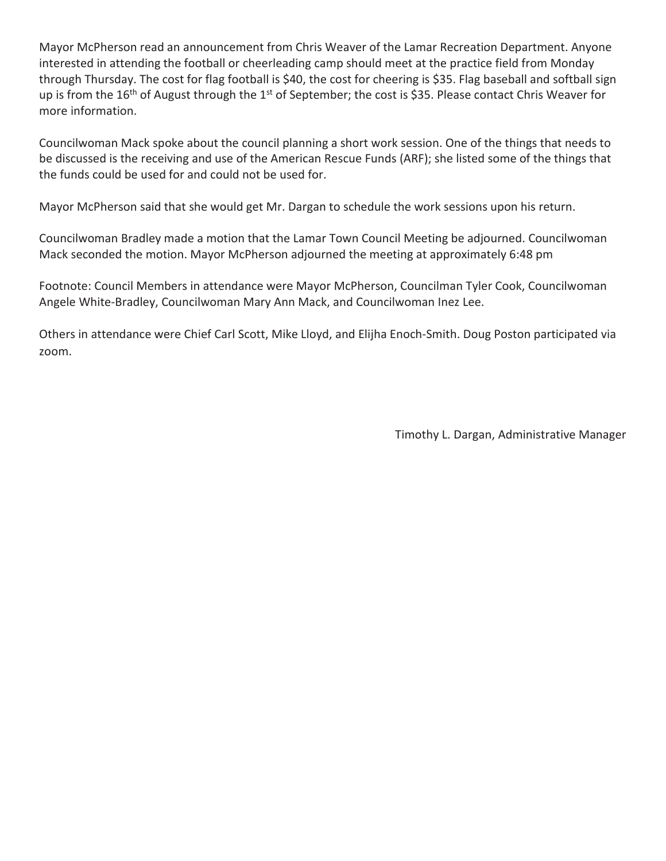Mayor McPherson read an announcement from Chris Weaver of the Lamar Recreation Department. Anyone interested in attending the football or cheerleading camp should meet at the practice field from Monday through Thursday. The cost for flag football is \$40, the cost for cheering is \$35. Flag baseball and softball sign up is from the 16<sup>th</sup> of August through the 1<sup>st</sup> of September; the cost is \$35. Please contact Chris Weaver for more information.

Councilwoman Mack spoke about the council planning a short work session. One of the things that needs to be discussed is the receiving and use of the American Rescue Funds (ARF); she listed some of the things that the funds could be used for and could not be used for.

Mayor McPherson said that she would get Mr. Dargan to schedule the work sessions upon his return.

Councilwoman Bradley made a motion that the Lamar Town Council Meeting be adjourned. Councilwoman Mack seconded the motion. Mayor McPherson adjourned the meeting at approximately 6:48 pm

Footnote: Council Members in attendance were Mayor McPherson, Councilman Tyler Cook, Councilwoman Angele White-Bradley, Councilwoman Mary Ann Mack, and Councilwoman Inez Lee.

Others in attendance were Chief Carl Scott, Mike Lloyd, and Elijha Enoch-Smith. Doug Poston participated via zoom.

Timothy L. Dargan, Administrative Manager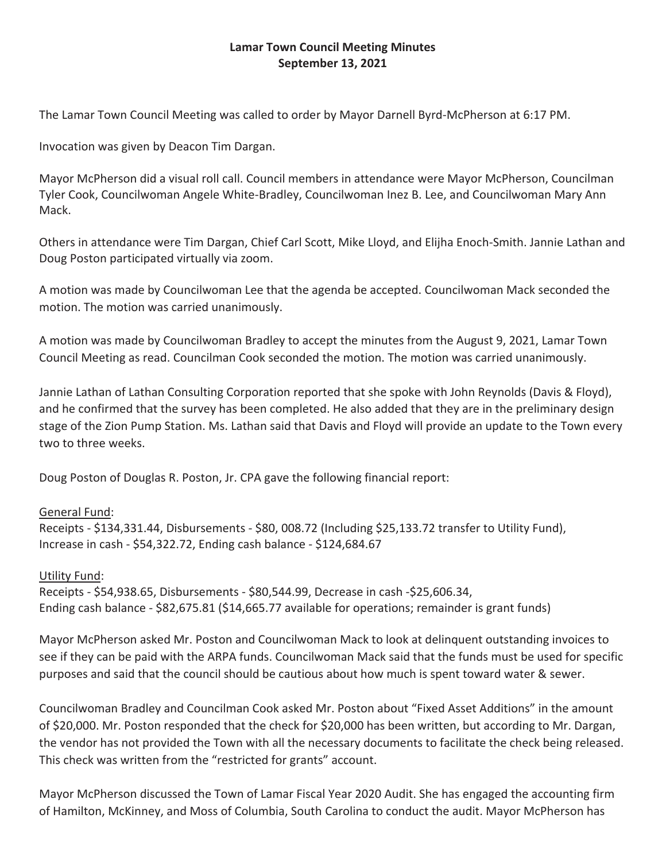# **Lamar Town Council Meeting Minutes September 13, 2021**

The Lamar Town Council Meeting was called to order by Mayor Darnell Byrd-McPherson at 6:17 PM.

Invocation was given by Deacon Tim Dargan.

Mayor McPherson did a visual roll call. Council members in attendance were Mayor McPherson, Councilman Tyler Cook, Councilwoman Angele White-Bradley, Councilwoman Inez B. Lee, and Councilwoman Mary Ann Mack.

Others in attendance were Tim Dargan, Chief Carl Scott, Mike Lloyd, and Elijha Enoch-Smith. Jannie Lathan and Doug Poston participated virtually via zoom.

A motion was made by Councilwoman Lee that the agenda be accepted. Councilwoman Mack seconded the motion. The motion was carried unanimously.

A motion was made by Councilwoman Bradley to accept the minutes from the August 9, 2021, Lamar Town Council Meeting as read. Councilman Cook seconded the motion. The motion was carried unanimously.

Jannie Lathan of Lathan Consulting Corporation reported that she spoke with John Reynolds (Davis & Floyd), and he confirmed that the survey has been completed. He also added that they are in the preliminary design stage of the Zion Pump Station. Ms. Lathan said that Davis and Floyd will provide an update to the Town every two to three weeks.

Doug Poston of Douglas R. Poston, Jr. CPA gave the following financial report:

## General Fund:

Receipts - \$134,331.44, Disbursements - \$80, 008.72 (Including \$25,133.72 transfer to Utility Fund), Increase in cash - \$54,322.72, Ending cash balance - \$124,684.67

## Utility Fund:

Receipts - \$54,938.65, Disbursements - \$80,544.99, Decrease in cash -\$25,606.34, Ending cash balance - \$82,675.81 (\$14,665.77 available for operations; remainder is grant funds)

Mayor McPherson asked Mr. Poston and Councilwoman Mack to look at delinquent outstanding invoices to see if they can be paid with the ARPA funds. Councilwoman Mack said that the funds must be used for specific purposes and said that the council should be cautious about how much is spent toward water & sewer.

Councilwoman Bradley and Councilman Cook asked Mr. Poston about "Fixed Asset Additions" in the amount of \$20,000. Mr. Poston responded that the check for \$20,000 has been written, but according to Mr. Dargan, the vendor has not provided the Town with all the necessary documents to facilitate the check being released. This check was written from the "restricted for grants" account.

Mayor McPherson discussed the Town of Lamar Fiscal Year 2020 Audit. She has engaged the accounting firm of Hamilton, McKinney, and Moss of Columbia, South Carolina to conduct the audit. Mayor McPherson has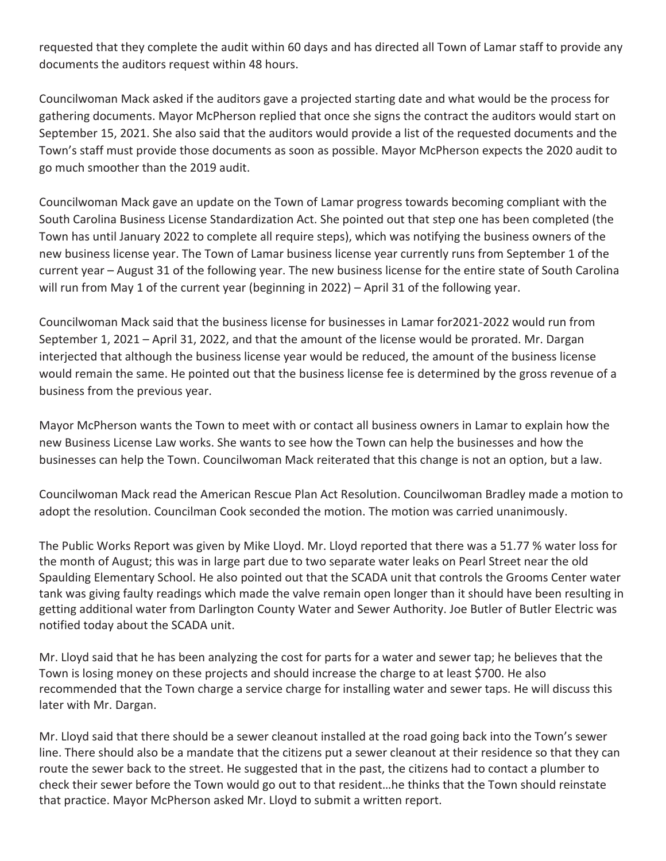requested that they complete the audit within 60 days and has directed all Town of Lamar staff to provide any documents the auditors request within 48 hours.

Councilwoman Mack asked if the auditors gave a projected starting date and what would be the process for gathering documents. Mayor McPherson replied that once she signs the contract the auditors would start on September 15, 2021. She also said that the auditors would provide a list of the requested documents and the Town's staff must provide those documents as soon as possible. Mayor McPherson expects the 2020 audit to go much smoother than the 2019 audit.

Councilwoman Mack gave an update on the Town of Lamar progress towards becoming compliant with the South Carolina Business License Standardization Act. She pointed out that step one has been completed (the Town has until January 2022 to complete all require steps), which was notifying the business owners of the new business license year. The Town of Lamar business license year currently runs from September 1 of the current year – August 31 of the following year. The new business license for the entire state of South Carolina will run from May 1 of the current year (beginning in 2022) – April 31 of the following year.

Councilwoman Mack said that the business license for businesses in Lamar for2021-2022 would run from September 1, 2021 – April 31, 2022, and that the amount of the license would be prorated. Mr. Dargan interjected that although the business license year would be reduced, the amount of the business license would remain the same. He pointed out that the business license fee is determined by the gross revenue of a business from the previous year.

Mayor McPherson wants the Town to meet with or contact all business owners in Lamar to explain how the new Business License Law works. She wants to see how the Town can help the businesses and how the businesses can help the Town. Councilwoman Mack reiterated that this change is not an option, but a law.

Councilwoman Mack read the American Rescue Plan Act Resolution. Councilwoman Bradley made a motion to adopt the resolution. Councilman Cook seconded the motion. The motion was carried unanimously.

The Public Works Report was given by Mike Lloyd. Mr. Lloyd reported that there was a 51.77 % water loss for the month of August; this was in large part due to two separate water leaks on Pearl Street near the old Spaulding Elementary School. He also pointed out that the SCADA unit that controls the Grooms Center water tank was giving faulty readings which made the valve remain open longer than it should have been resulting in getting additional water from Darlington County Water and Sewer Authority. Joe Butler of Butler Electric was notified today about the SCADA unit.

Mr. Lloyd said that he has been analyzing the cost for parts for a water and sewer tap; he believes that the Town is losing money on these projects and should increase the charge to at least \$700. He also recommended that the Town charge a service charge for installing water and sewer taps. He will discuss this later with Mr. Dargan.

Mr. Lloyd said that there should be a sewer cleanout installed at the road going back into the Town's sewer line. There should also be a mandate that the citizens put a sewer cleanout at their residence so that they can route the sewer back to the street. He suggested that in the past, the citizens had to contact a plumber to check their sewer before the Town would go out to that resident…he thinks that the Town should reinstate that practice. Mayor McPherson asked Mr. Lloyd to submit a written report.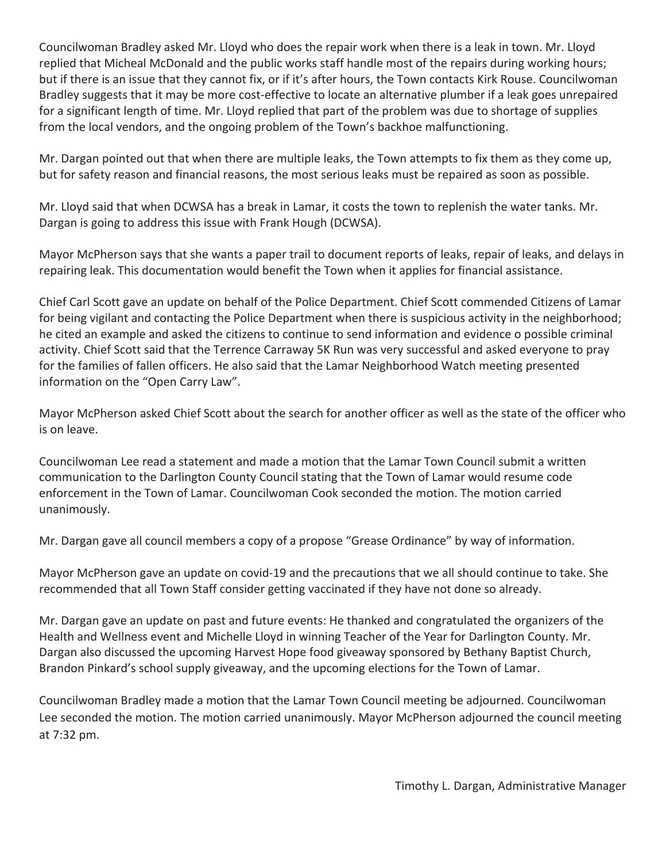Councilwoman Bradley asked Mr. Lloyd who does the repair work when there is a leak in town. Mr. Lloyd replied that Micheal McDonald and the public works staff handle most of the repairs during working hours; but if there is an issue that they cannot fix, or if it's after hours, the Town contacts Kirk Rouse. Councilwoman Bradley suggests that it may be more cost-effective to locate an alternative plumber if a leak goes unrepaired for a significant length of time. Mr. Lloyd replied that part of the problem was due to shortage of supplies from the local vendors, and the ongoing problem of the Town's backhoe malfunctioning.

Mr. Dargan pointed out that when there are multiple leaks, the Town attempts to fix them as they come up, but for safety reason and financial reasons, the most serious leaks must be repaired as soon as possible.

Mr. Lloyd said that when DCWSA has a break in Lamar, it costs the town to replenish the water tanks. Mr. Dargan is going to address this issue with Frank Hough (DCWSA).

Mayor McPherson says that she wants a paper trail to document reports of leaks, repair of leaks, and delays in repairing leak. This documentation would benefit the Town when it applies for financial assistance.

Chief Carl Scott gave an update on behalf of the Police Department. Chief Scott commended Citizens of Lamar for being vigilant and contacting the Police Department when there is suspicious activity in the neighborhood; he cited an example and asked the citizens to continue to send information and evidence o possible criminal activity. Chief Scott said that the Terrence Carraway 5K Run was very successful and asked everyone to pray for the families of fallen officers. He also said that the Lamar Neighborhood Watch meeting presented information on the "Open Carry Law".

Mayor McPherson asked Chief Scott about the search for another officer as well as the state of the officer who is on leave.

Councilwoman Lee read a statement and made a motion that the Lamar Town Council submit a written communication to the Darlington County Council stating that the Town of Lamar would resume code enforcement in the Town of Lamar. Councilwoman Cook seconded the motion. The motion carried unanimously.

Mr. Dargan gave all council members a copy of a propose "Grease Ordinance" by way of information.

Mayor McPherson gave an update on covid-19 and the precautions that we all should continue to take. She recommended that all Town Staff consider getting vaccinated if they have not done so already.

Mr. Dargan gave an update on past and future events: He thanked and congratulated the organizers of the Health and Wellness event and Michelle Lloyd in winning Teacher of the Year for Darlington County. Mr. Dargan also discussed the upcoming Harvest Hope food giveaway sponsored by Bethany Baptist Church, Brandon Pinkard's school supply giveaway, and the upcoming elections for the Town of Lamar.

Councilwoman Bradley made a motion that the Lamar Town Council meeting be adjourned. Councilwoman Lee seconded the motion. The motion carried unanimously. Mayor McPherson adjourned the council meeting at 7:32 pm.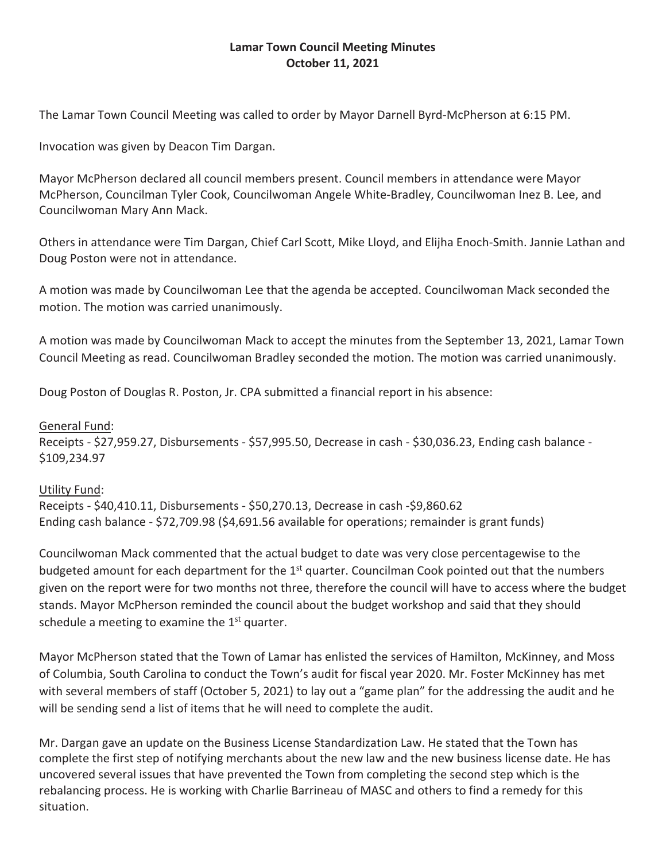# **Lamar Town Council Meeting Minutes October 11, 2021**

The Lamar Town Council Meeting was called to order by Mayor Darnell Byrd-McPherson at 6:15 PM.

Invocation was given by Deacon Tim Dargan.

Mayor McPherson declared all council members present. Council members in attendance were Mayor McPherson, Councilman Tyler Cook, Councilwoman Angele White-Bradley, Councilwoman Inez B. Lee, and Councilwoman Mary Ann Mack.

Others in attendance were Tim Dargan, Chief Carl Scott, Mike Lloyd, and Elijha Enoch-Smith. Jannie Lathan and Doug Poston were not in attendance.

A motion was made by Councilwoman Lee that the agenda be accepted. Councilwoman Mack seconded the motion. The motion was carried unanimously.

A motion was made by Councilwoman Mack to accept the minutes from the September 13, 2021, Lamar Town Council Meeting as read. Councilwoman Bradley seconded the motion. The motion was carried unanimously.

Doug Poston of Douglas R. Poston, Jr. CPA submitted a financial report in his absence:

General Fund: Receipts - \$27,959.27, Disbursements - \$57,995.50, Decrease in cash - \$30,036.23, Ending cash balance - \$109,234.97

## Utility Fund:

Receipts - \$40,410.11, Disbursements - \$50,270.13, Decrease in cash -\$9,860.62 Ending cash balance - \$72,709.98 (\$4,691.56 available for operations; remainder is grant funds)

Councilwoman Mack commented that the actual budget to date was very close percentagewise to the budgeted amount for each department for the  $1<sup>st</sup>$  quarter. Councilman Cook pointed out that the numbers given on the report were for two months not three, therefore the council will have to access where the budget stands. Mayor McPherson reminded the council about the budget workshop and said that they should schedule a meeting to examine the  $1<sup>st</sup>$  quarter.

Mayor McPherson stated that the Town of Lamar has enlisted the services of Hamilton, McKinney, and Moss of Columbia, South Carolina to conduct the Town's audit for fiscal year 2020. Mr. Foster McKinney has met with several members of staff (October 5, 2021) to lay out a "game plan" for the addressing the audit and he will be sending send a list of items that he will need to complete the audit.

Mr. Dargan gave an update on the Business License Standardization Law. He stated that the Town has complete the first step of notifying merchants about the new law and the new business license date. He has uncovered several issues that have prevented the Town from completing the second step which is the rebalancing process. He is working with Charlie Barrineau of MASC and others to find a remedy for this situation.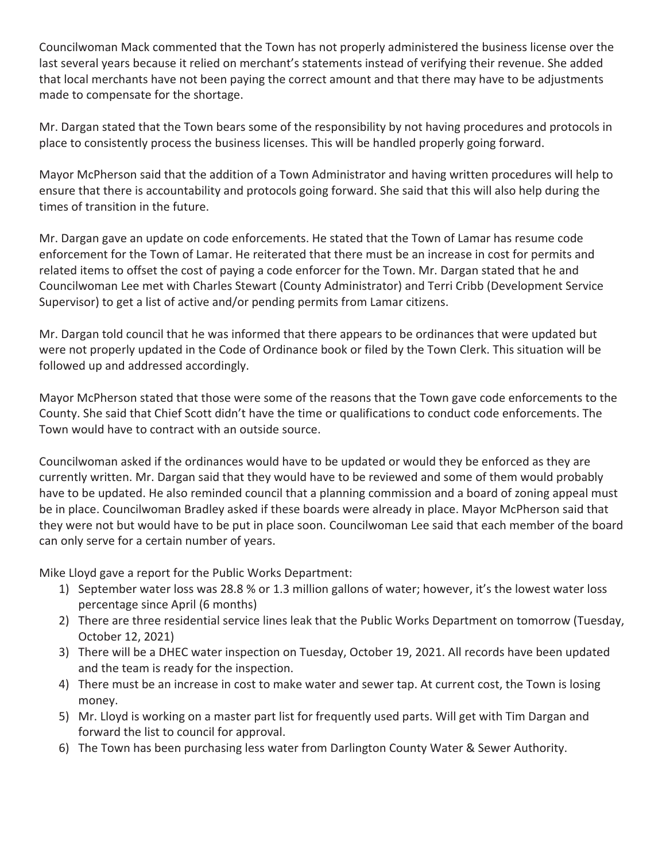Councilwoman Mack commented that the Town has not properly administered the business license over the last several years because it relied on merchant's statements instead of verifying their revenue. She added that local merchants have not been paying the correct amount and that there may have to be adjustments made to compensate for the shortage.

Mr. Dargan stated that the Town bears some of the responsibility by not having procedures and protocols in place to consistently process the business licenses. This will be handled properly going forward.

Mayor McPherson said that the addition of a Town Administrator and having written procedures will help to ensure that there is accountability and protocols going forward. She said that this will also help during the times of transition in the future.

Mr. Dargan gave an update on code enforcements. He stated that the Town of Lamar has resume code enforcement for the Town of Lamar. He reiterated that there must be an increase in cost for permits and related items to offset the cost of paying a code enforcer for the Town. Mr. Dargan stated that he and Councilwoman Lee met with Charles Stewart (County Administrator) and Terri Cribb (Development Service Supervisor) to get a list of active and/or pending permits from Lamar citizens.

Mr. Dargan told council that he was informed that there appears to be ordinances that were updated but were not properly updated in the Code of Ordinance book or filed by the Town Clerk. This situation will be followed up and addressed accordingly.

Mayor McPherson stated that those were some of the reasons that the Town gave code enforcements to the County. She said that Chief Scott didn't have the time or qualifications to conduct code enforcements. The Town would have to contract with an outside source.

Councilwoman asked if the ordinances would have to be updated or would they be enforced as they are currently written. Mr. Dargan said that they would have to be reviewed and some of them would probably have to be updated. He also reminded council that a planning commission and a board of zoning appeal must be in place. Councilwoman Bradley asked if these boards were already in place. Mayor McPherson said that they were not but would have to be put in place soon. Councilwoman Lee said that each member of the board can only serve for a certain number of years.

Mike Lloyd gave a report for the Public Works Department:

- 1) September water loss was 28.8 % or 1.3 million gallons of water; however, it's the lowest water loss percentage since April (6 months)
- 2) There are three residential service lines leak that the Public Works Department on tomorrow (Tuesday, October 12, 2021)
- 3) There will be a DHEC water inspection on Tuesday, October 19, 2021. All records have been updated and the team is ready for the inspection.
- 4) There must be an increase in cost to make water and sewer tap. At current cost, the Town is losing money.
- 5) Mr. Lloyd is working on a master part list for frequently used parts. Will get with Tim Dargan and forward the list to council for approval.
- 6) The Town has been purchasing less water from Darlington County Water & Sewer Authority.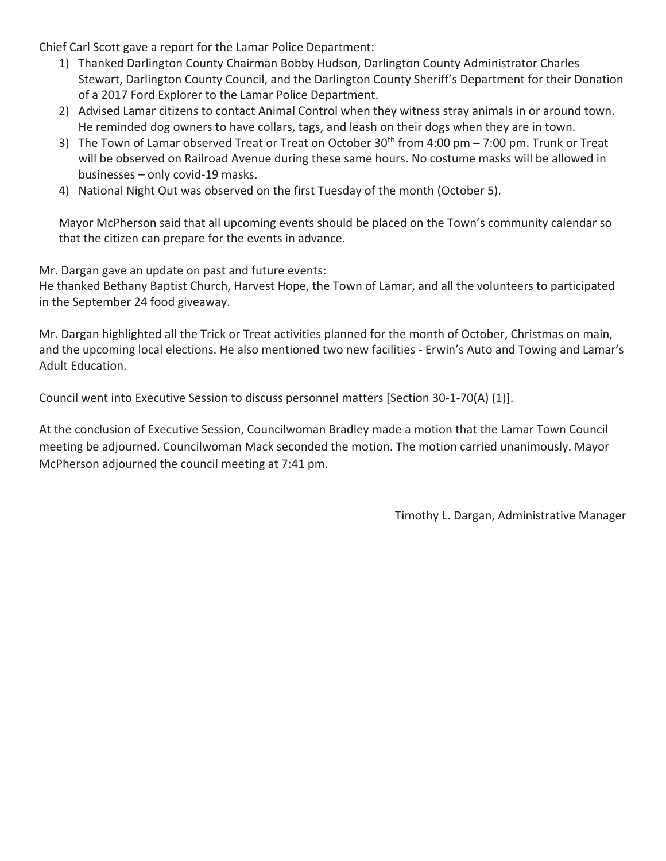Chief Carl Scott gave a report for the Lamar Police Department:

- 1) Thanked Darlington County Chairman Bobby Hudson, Darlington County Administrator Charles Stewart, Darlington County Council, and the Darlington County Sheriff's Department for their Donation of a 2017 Ford Explorer to the Lamar Police Department.
- 2) Advised Lamar citizens to contact Animal Control when they witness stray animals in or around town. He reminded dog owners to have collars, tags, and leash on their dogs when they are in town.
- 3) The Town of Lamar observed Treat or Treat on October  $30<sup>th</sup>$  from 4:00 pm 7:00 pm. Trunk or Treat will be observed on Railroad Avenue during these same hours. No costume masks will be allowed in businesses – only covid-19 masks.
- 4) National Night Out was observed on the first Tuesday of the month (October 5).

Mayor McPherson said that all upcoming events should be placed on the Town's community calendar so that the citizen can prepare for the events in advance.

Mr. Dargan gave an update on past and future events:

He thanked Bethany Baptist Church, Harvest Hope, the Town of Lamar, and all the volunteers to participated in the September 24 food giveaway.

Mr. Dargan highlighted all the Trick or Treat activities planned for the month of October, Christmas on main, and the upcoming local elections. He also mentioned two new facilities - Erwin's Auto and Towing and Lamar's Adult Education.

Council went into Executive Session to discuss personnel matters [Section 30-1-70(A) (1)].

At the conclusion of Executive Session, Councilwoman Bradley made a motion that the Lamar Town Council meeting be adjourned. Councilwoman Mack seconded the motion. The motion carried unanimously. Mayor McPherson adjourned the council meeting at 7:41 pm.

Timothy L. Dargan, Administrative Manager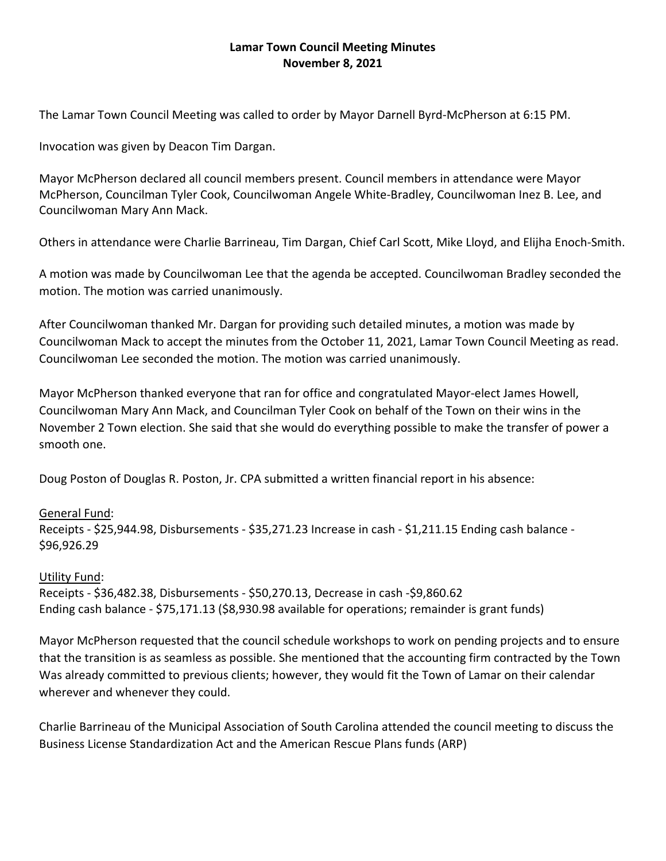# **Lamar Town Council Meeting Minutes November 8, 2021**

The Lamar Town Council Meeting was called to order by Mayor Darnell Byrd‐McPherson at 6:15 PM.

Invocation was given by Deacon Tim Dargan.

Mayor McPherson declared all council members present. Council members in attendance were Mayor McPherson, Councilman Tyler Cook, Councilwoman Angele White‐Bradley, Councilwoman Inez B. Lee, and Councilwoman Mary Ann Mack.

Others in attendance were Charlie Barrineau, Tim Dargan, Chief Carl Scott, Mike Lloyd, and Elijha Enoch‐Smith.

A motion was made by Councilwoman Lee that the agenda be accepted. Councilwoman Bradley seconded the motion. The motion was carried unanimously.

After Councilwoman thanked Mr. Dargan for providing such detailed minutes, a motion was made by Councilwoman Mack to accept the minutes from the October 11, 2021, Lamar Town Council Meeting as read. Councilwoman Lee seconded the motion. The motion was carried unanimously.

Mayor McPherson thanked everyone that ran for office and congratulated Mayor‐elect James Howell, Councilwoman Mary Ann Mack, and Councilman Tyler Cook on behalf of the Town on their wins in the November 2 Town election. She said that she would do everything possible to make the transfer of power a smooth one.

Doug Poston of Douglas R. Poston, Jr. CPA submitted a written financial report in his absence:

## General Fund:

Receipts - \$25,944.98, Disbursements - \$35,271.23 Increase in cash - \$1,211.15 Ending cash balance -\$96,926.29

## Utility Fund:

Receipts ‐ \$36,482.38, Disbursements ‐ \$50,270.13, Decrease in cash ‐\$9,860.62 Ending cash balance ‐ \$75,171.13 (\$8,930.98 available for operations; remainder is grant funds)

Mayor McPherson requested that the council schedule workshops to work on pending projects and to ensure that the transition is as seamless as possible. She mentioned that the accounting firm contracted by the Town Was already committed to previous clients; however, they would fit the Town of Lamar on their calendar wherever and whenever they could.

Charlie Barrineau of the Municipal Association of South Carolina attended the council meeting to discuss the Business License Standardization Act and the American Rescue Plans funds (ARP)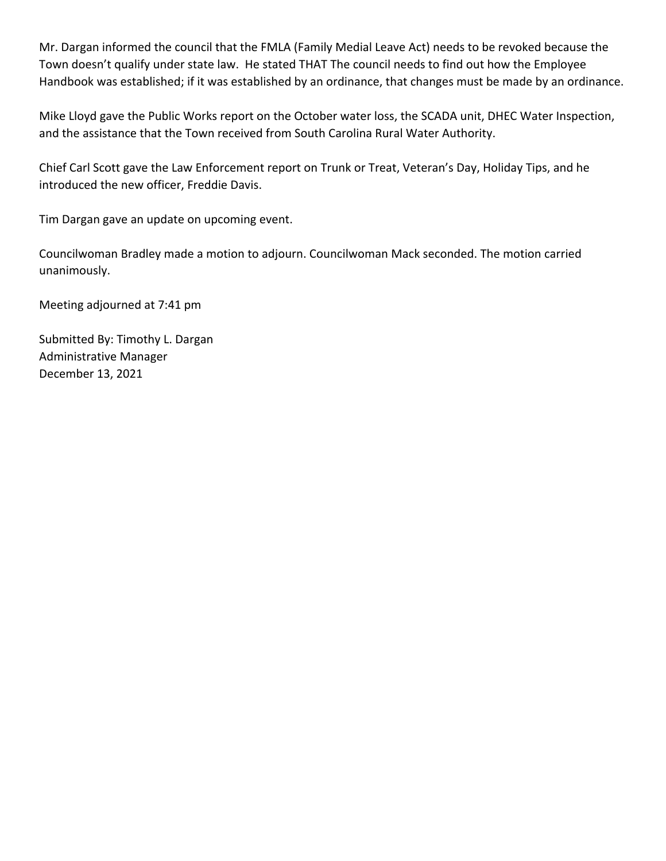Mr. Dargan informed the council that the FMLA (Family Medial Leave Act) needs to be revoked because the Town doesn't qualify under state law. He stated THAT The council needs to find out how the Employee Handbook was established; if it was established by an ordinance, that changes must be made by an ordinance.

Mike Lloyd gave the Public Works report on the October water loss, the SCADA unit, DHEC Water Inspection, and the assistance that the Town received from South Carolina Rural Water Authority.

Chief Carl Scott gave the Law Enforcement report on Trunk or Treat, Veteran's Day, Holiday Tips, and he introduced the new officer, Freddie Davis.

Tim Dargan gave an update on upcoming event.

Councilwoman Bradley made a motion to adjourn. Councilwoman Mack seconded. The motion carried unanimously.

Meeting adjourned at 7:41 pm

Submitted By: Timothy L. Dargan Administrative Manager December 13, 2021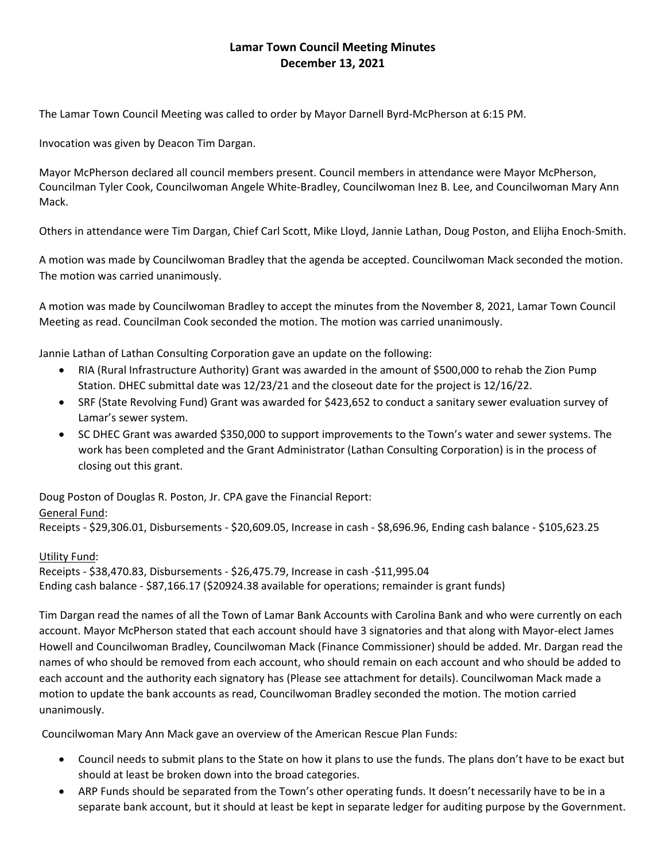# **Lamar Town Council Meeting Minutes December 13, 2021**

The Lamar Town Council Meeting was called to order by Mayor Darnell Byrd‐McPherson at 6:15 PM.

Invocation was given by Deacon Tim Dargan.

Mayor McPherson declared all council members present. Council members in attendance were Mayor McPherson, Councilman Tyler Cook, Councilwoman Angele White‐Bradley, Councilwoman Inez B. Lee, and Councilwoman Mary Ann Mack.

Others in attendance were Tim Dargan, Chief Carl Scott, Mike Lloyd, Jannie Lathan, Doug Poston, and Elijha Enoch‐Smith.

A motion was made by Councilwoman Bradley that the agenda be accepted. Councilwoman Mack seconded the motion. The motion was carried unanimously.

A motion was made by Councilwoman Bradley to accept the minutes from the November 8, 2021, Lamar Town Council Meeting as read. Councilman Cook seconded the motion. The motion was carried unanimously.

Jannie Lathan of Lathan Consulting Corporation gave an update on the following:

- RIA (Rural Infrastructure Authority) Grant was awarded in the amount of \$500,000 to rehab the Zion Pump Station. DHEC submittal date was 12/23/21 and the closeout date for the project is 12/16/22.
- SRF (State Revolving Fund) Grant was awarded for \$423,652 to conduct a sanitary sewer evaluation survey of Lamar's sewer system.
- SC DHEC Grant was awarded \$350,000 to support improvements to the Town's water and sewer systems. The work has been completed and the Grant Administrator (Lathan Consulting Corporation) is in the process of closing out this grant.

Doug Poston of Douglas R. Poston, Jr. CPA gave the Financial Report:

## General Fund:

Receipts ‐ \$29,306.01, Disbursements ‐ \$20,609.05, Increase in cash ‐ \$8,696.96, Ending cash balance ‐ \$105,623.25

#### Utility Fund:

Receipts ‐ \$38,470.83, Disbursements ‐ \$26,475.79, Increase in cash ‐\$11,995.04 Ending cash balance ‐ \$87,166.17 (\$20924.38 available for operations; remainder is grant funds)

Tim Dargan read the names of all the Town of Lamar Bank Accounts with Carolina Bank and who were currently on each account. Mayor McPherson stated that each account should have 3 signatories and that along with Mayor‐elect James Howell and Councilwoman Bradley, Councilwoman Mack (Finance Commissioner) should be added. Mr. Dargan read the names of who should be removed from each account, who should remain on each account and who should be added to each account and the authority each signatory has (Please see attachment for details). Councilwoman Mack made a motion to update the bank accounts as read, Councilwoman Bradley seconded the motion. The motion carried unanimously.

Councilwoman Mary Ann Mack gave an overview of the American Rescue Plan Funds:

- Council needs to submit plans to the State on how it plans to use the funds. The plans don't have to be exact but should at least be broken down into the broad categories.
- ARP Funds should be separated from the Town's other operating funds. It doesn't necessarily have to be in a separate bank account, but it should at least be kept in separate ledger for auditing purpose by the Government.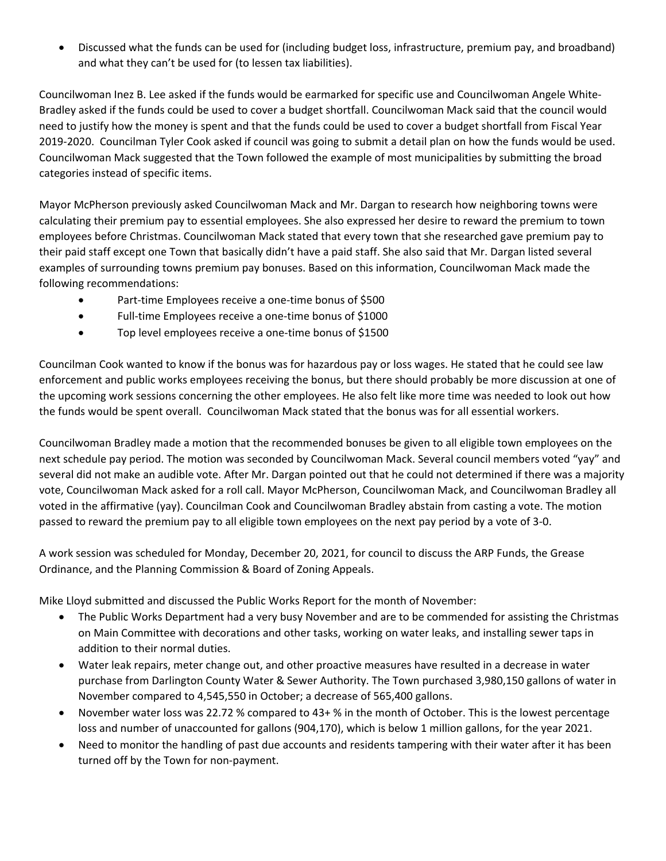Discussed what the funds can be used for (including budget loss, infrastructure, premium pay, and broadband) and what they can't be used for (to lessen tax liabilities).

Councilwoman Inez B. Lee asked if the funds would be earmarked for specific use and Councilwoman Angele White‐ Bradley asked if the funds could be used to cover a budget shortfall. Councilwoman Mack said that the council would need to justify how the money is spent and that the funds could be used to cover a budget shortfall from Fiscal Year 2019‐2020. Councilman Tyler Cook asked if council was going to submit a detail plan on how the funds would be used. Councilwoman Mack suggested that the Town followed the example of most municipalities by submitting the broad categories instead of specific items.

Mayor McPherson previously asked Councilwoman Mack and Mr. Dargan to research how neighboring towns were calculating their premium pay to essential employees. She also expressed her desire to reward the premium to town employees before Christmas. Councilwoman Mack stated that every town that she researched gave premium pay to their paid staff except one Town that basically didn't have a paid staff. She also said that Mr. Dargan listed several examples of surrounding towns premium pay bonuses. Based on this information, Councilwoman Mack made the following recommendations:

- Part-time Employees receive a one-time bonus of \$500
- Full-time Employees receive a one-time bonus of \$1000
- Top level employees receive a one‐time bonus of \$1500

Councilman Cook wanted to know if the bonus was for hazardous pay or loss wages. He stated that he could see law enforcement and public works employees receiving the bonus, but there should probably be more discussion at one of the upcoming work sessions concerning the other employees. He also felt like more time was needed to look out how the funds would be spent overall. Councilwoman Mack stated that the bonus was for all essential workers.

Councilwoman Bradley made a motion that the recommended bonuses be given to all eligible town employees on the next schedule pay period. The motion was seconded by Councilwoman Mack. Several council members voted "yay" and several did not make an audible vote. After Mr. Dargan pointed out that he could not determined if there was a majority vote, Councilwoman Mack asked for a roll call. Mayor McPherson, Councilwoman Mack, and Councilwoman Bradley all voted in the affirmative (yay). Councilman Cook and Councilwoman Bradley abstain from casting a vote. The motion passed to reward the premium pay to all eligible town employees on the next pay period by a vote of 3‐0.

A work session was scheduled for Monday, December 20, 2021, for council to discuss the ARP Funds, the Grease Ordinance, and the Planning Commission & Board of Zoning Appeals.

Mike Lloyd submitted and discussed the Public Works Report for the month of November:

- The Public Works Department had a very busy November and are to be commended for assisting the Christmas on Main Committee with decorations and other tasks, working on water leaks, and installing sewer taps in addition to their normal duties.
- Water leak repairs, meter change out, and other proactive measures have resulted in a decrease in water purchase from Darlington County Water & Sewer Authority. The Town purchased 3,980,150 gallons of water in November compared to 4,545,550 in October; a decrease of 565,400 gallons.
- November water loss was 22.72 % compared to 43+ % in the month of October. This is the lowest percentage loss and number of unaccounted for gallons (904,170), which is below 1 million gallons, for the year 2021.
- Need to monitor the handling of past due accounts and residents tampering with their water after it has been turned off by the Town for non‐payment.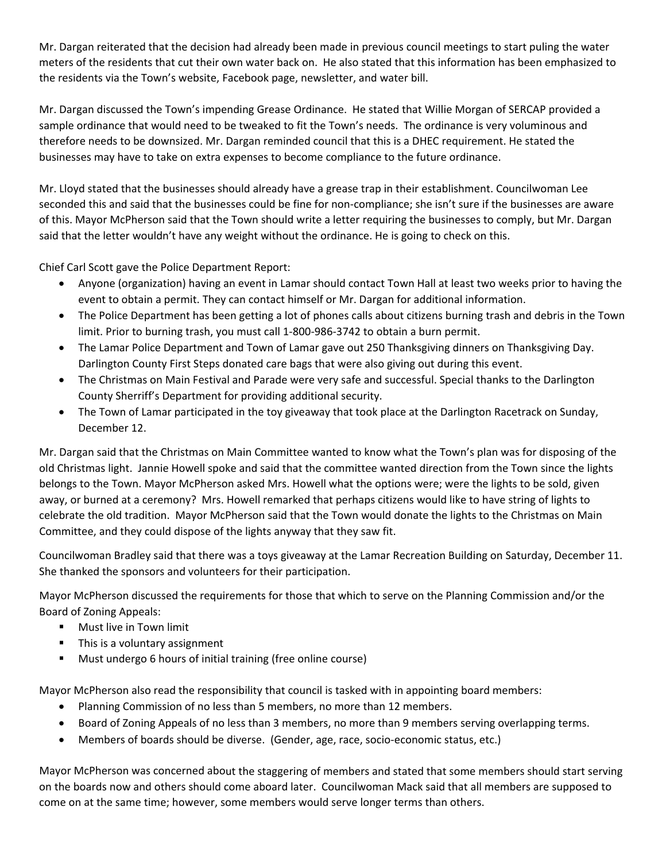Mr. Dargan reiterated that the decision had already been made in previous council meetings to start puling the water meters of the residents that cut their own water back on. He also stated that this information has been emphasized to the residents via the Town's website, Facebook page, newsletter, and water bill.

Mr. Dargan discussed the Town's impending Grease Ordinance. He stated that Willie Morgan of SERCAP provided a sample ordinance that would need to be tweaked to fit the Town's needs. The ordinance is very voluminous and therefore needs to be downsized. Mr. Dargan reminded council that this is a DHEC requirement. He stated the businesses may have to take on extra expenses to become compliance to the future ordinance.

Mr. Lloyd stated that the businesses should already have a grease trap in their establishment. Councilwoman Lee seconded this and said that the businesses could be fine for non-compliance; she isn't sure if the businesses are aware of this. Mayor McPherson said that the Town should write a letter requiring the businesses to comply, but Mr. Dargan said that the letter wouldn't have any weight without the ordinance. He is going to check on this.

Chief Carl Scott gave the Police Department Report:

- Anyone (organization) having an event in Lamar should contact Town Hall at least two weeks prior to having the event to obtain a permit. They can contact himself or Mr. Dargan for additional information.
- The Police Department has been getting a lot of phones calls about citizens burning trash and debris in the Town limit. Prior to burning trash, you must call 1-800-986-3742 to obtain a burn permit.
- The Lamar Police Department and Town of Lamar gave out 250 Thanksgiving dinners on Thanksgiving Day. Darlington County First Steps donated care bags that were also giving out during this event.
- The Christmas on Main Festival and Parade were very safe and successful. Special thanks to the Darlington County Sherriff's Department for providing additional security.
- The Town of Lamar participated in the toy giveaway that took place at the Darlington Racetrack on Sunday, December 12.

Mr. Dargan said that the Christmas on Main Committee wanted to know what the Town's plan was for disposing of the old Christmas light. Jannie Howell spoke and said that the committee wanted direction from the Town since the lights belongs to the Town. Mayor McPherson asked Mrs. Howell what the options were; were the lights to be sold, given away, or burned at a ceremony? Mrs. Howell remarked that perhaps citizens would like to have string of lights to celebrate the old tradition. Mayor McPherson said that the Town would donate the lights to the Christmas on Main Committee, and they could dispose of the lights anyway that they saw fit.

Councilwoman Bradley said that there was a toys giveaway at the Lamar Recreation Building on Saturday, December 11. She thanked the sponsors and volunteers for their participation.

Mayor McPherson discussed the requirements for those that which to serve on the Planning Commission and/or the Board of Zoning Appeals:

- **Nust live in Town limit**
- This is a voluntary assignment
- Must undergo 6 hours of initial training (free online course)

Mayor McPherson also read the responsibility that council is tasked with in appointing board members:

- Planning Commission of no less than 5 members, no more than 12 members.
- Board of Zoning Appeals of no less than 3 members, no more than 9 members serving overlapping terms.
- Members of boards should be diverse. (Gender, age, race, socio‐economic status, etc.)

Mayor McPherson was concerned about the staggering of members and stated that some members should start serving on the boards now and others should come aboard later. Councilwoman Mack said that all members are supposed to come on at the same time; however, some members would serve longer terms than others.